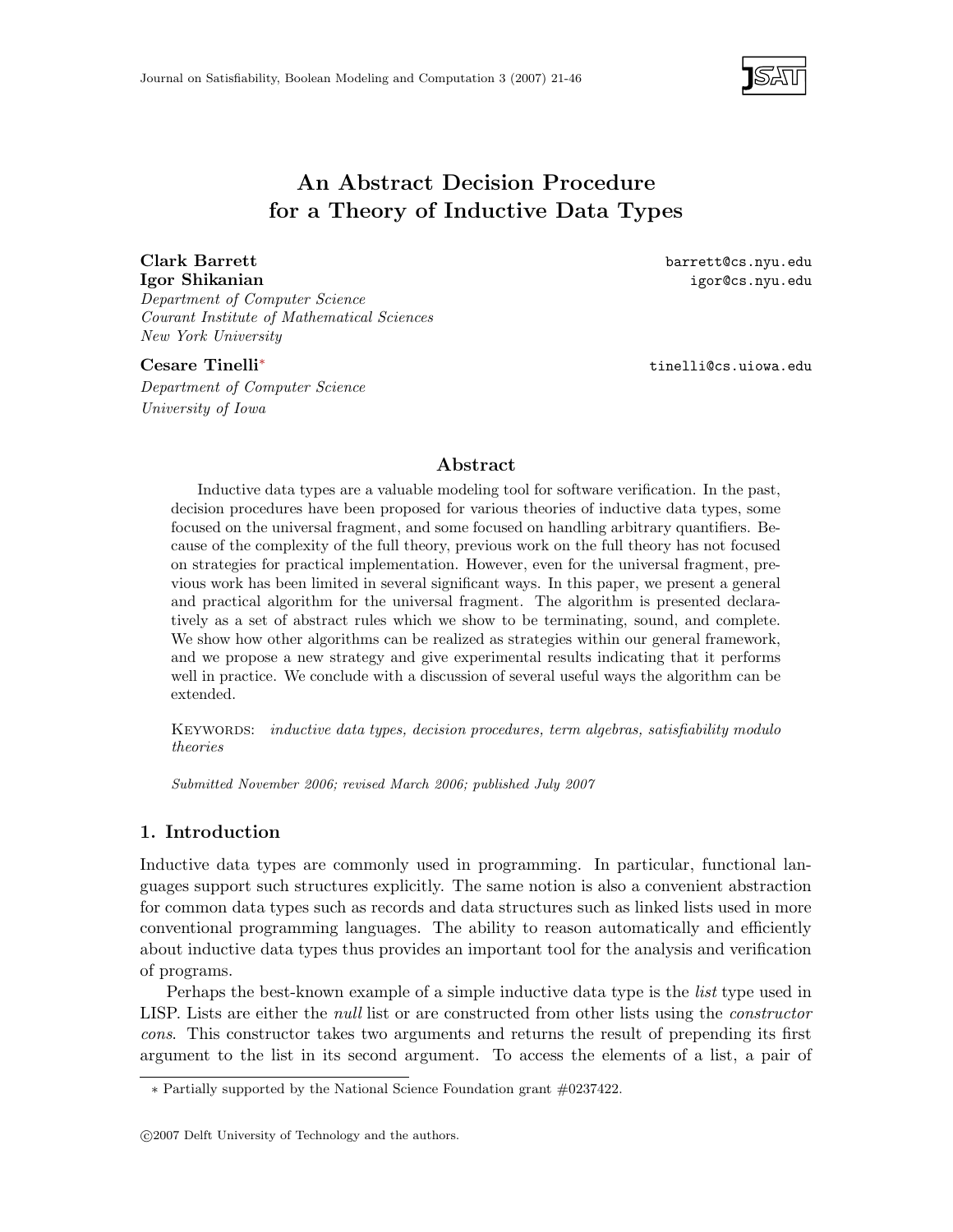

# An Abstract Decision Procedure for a Theory of Inductive Data Types

# Clark Barrett barrett@cs.nyu.edu

Department of Computer Science Courant Institute of Mathematical Sciences New York University

#### Cesare Tinelli<sup>∗</sup>

Department of Computer Science University of Iowa

Igor Shikanian igor@cs.nyu.edu

tinelli@cs.uiowa.edu

#### Abstract

Inductive data types are a valuable modeling tool for software verification. In the past, decision procedures have been proposed for various theories of inductive data types, some focused on the universal fragment, and some focused on handling arbitrary quantifiers. Because of the complexity of the full theory, previous work on the full theory has not focused on strategies for practical implementation. However, even for the universal fragment, previous work has been limited in several significant ways. In this paper, we present a general and practical algorithm for the universal fragment. The algorithm is presented declaratively as a set of abstract rules which we show to be terminating, sound, and complete. We show how other algorithms can be realized as strategies within our general framework, and we propose a new strategy and give experimental results indicating that it performs well in practice. We conclude with a discussion of several useful ways the algorithm can be extended.

KEYWORDS: *inductive data types, decision procedures, term algebras, satisfiability modulo* theories

Submitted November 2006; revised March 2006; published July 2007

# 1. Introduction

Inductive data types are commonly used in programming. In particular, functional languages support such structures explicitly. The same notion is also a convenient abstraction for common data types such as records and data structures such as linked lists used in more conventional programming languages. The ability to reason automatically and efficiently about inductive data types thus provides an important tool for the analysis and verification of programs.

Perhaps the best-known example of a simple inductive data type is the list type used in LISP. Lists are either the null list or are constructed from other lists using the constructor cons. This constructor takes two arguments and returns the result of prepending its first argument to the list in its second argument. To access the elements of a list, a pair of

<sup>∗</sup> Partially supported by the National Science Foundation grant #0237422.

c 2007 Delft University of Technology and the authors.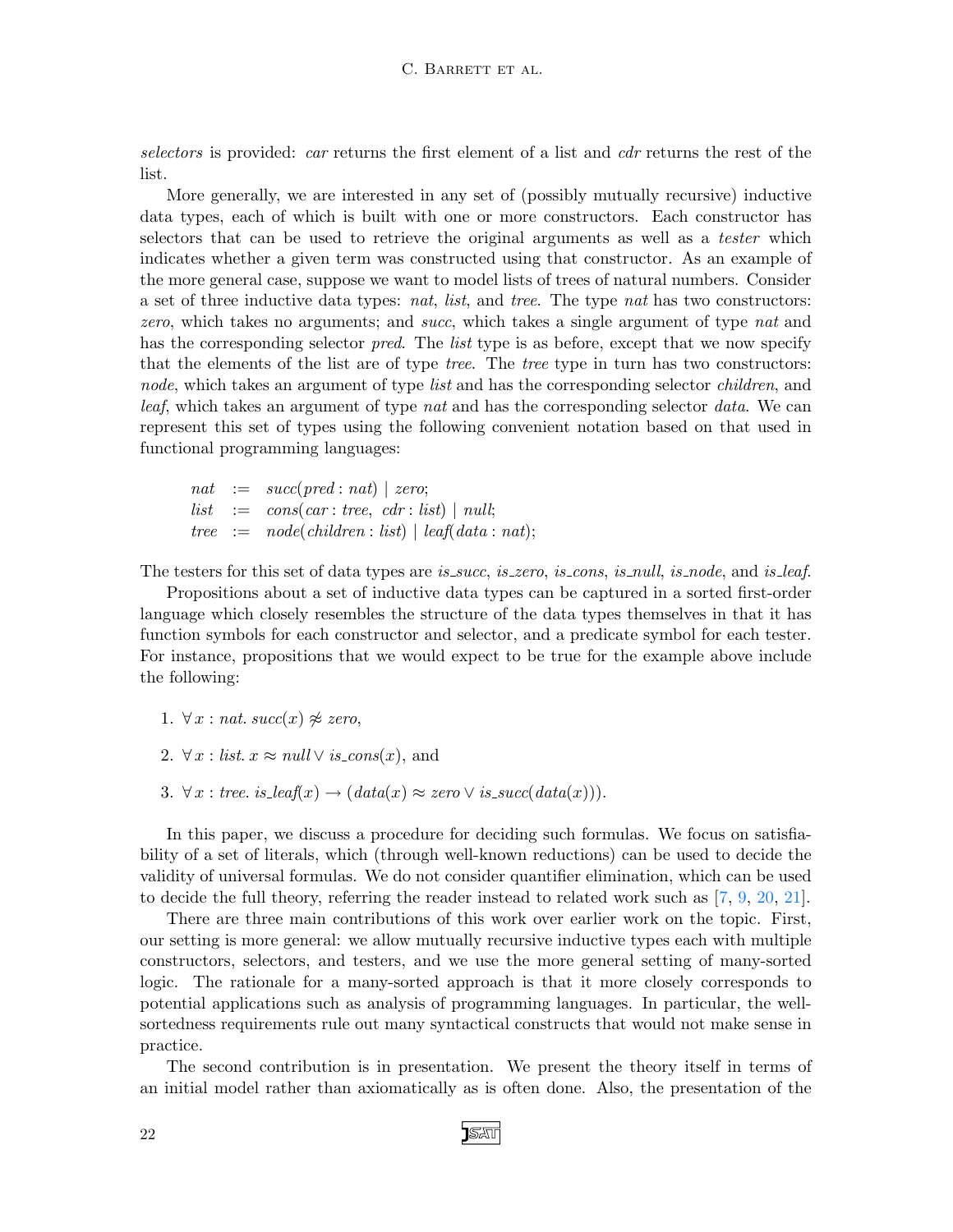selectors is provided: car returns the first element of a list and cdr returns the rest of the list.

More generally, we are interested in any set of (possibly mutually recursive) inductive data types, each of which is built with one or more constructors. Each constructor has selectors that can be used to retrieve the original arguments as well as a *tester* which indicates whether a given term was constructed using that constructor. As an example of the more general case, suppose we want to model lists of trees of natural numbers. Consider a set of three inductive data types: *nat, list,* and *tree*. The type *nat* has two constructors: zero, which takes no arguments; and succ, which takes a single argument of type nat and has the corresponding selector *pred*. The *list* type is as before, except that we now specify that the elements of the list are of type tree. The tree type in turn has two constructors: node, which takes an argument of type *list* and has the corresponding selector *children*, and leaf, which takes an argument of type nat and has the corresponding selector data. We can represent this set of types using the following convenient notation based on that used in functional programming languages:

 $nat := succ(pred: nat) | zero;$  $list := \cos(\text{car} : \text{tree}, \text{cdr} : \text{list}) \mid \text{null};$ tree :=  $node(children: list) | leaf(data: nat);$ 

The testers for this set of data types are *is\_succ*, *is\_zero*, *is\_cons*, *is\_null*, *is\_node*, and *is\_leaf*.

Propositions about a set of inductive data types can be captured in a sorted first-order language which closely resembles the structure of the data types themselves in that it has function symbols for each constructor and selector, and a predicate symbol for each tester. For instance, propositions that we would expect to be true for the example above include the following:

```
1. \forall x : nat.\;succ(x) \not\approx zero,
```
- 2.  $\forall x : \text{list. } x \approx \text{null} \lor \text{is\_cons}(x)$ , and
- 3.  $\forall x : tree.$  is  $leaf(x) \rightarrow (data(x) \approx zero \vee is\_succ(data(x))).$

In this paper, we discuss a procedure for deciding such formulas. We focus on satisfiability of a set of literals, which (through well-known reductions) can be used to decide the validity of universal formulas. We do not consider quantifier elimination, which can be used to decide the full theory, referring the reader instead to related work such as [\[7,](#page-25-0) [9,](#page-25-1) [20,](#page-25-2) [21\]](#page-25-3).

There are three main contributions of this work over earlier work on the topic. First, our setting is more general: we allow mutually recursive inductive types each with multiple constructors, selectors, and testers, and we use the more general setting of many-sorted logic. The rationale for a many-sorted approach is that it more closely corresponds to potential applications such as analysis of programming languages. In particular, the wellsortedness requirements rule out many syntactical constructs that would not make sense in practice.

The second contribution is in presentation. We present the theory itself in terms of an initial model rather than axiomatically as is often done. Also, the presentation of the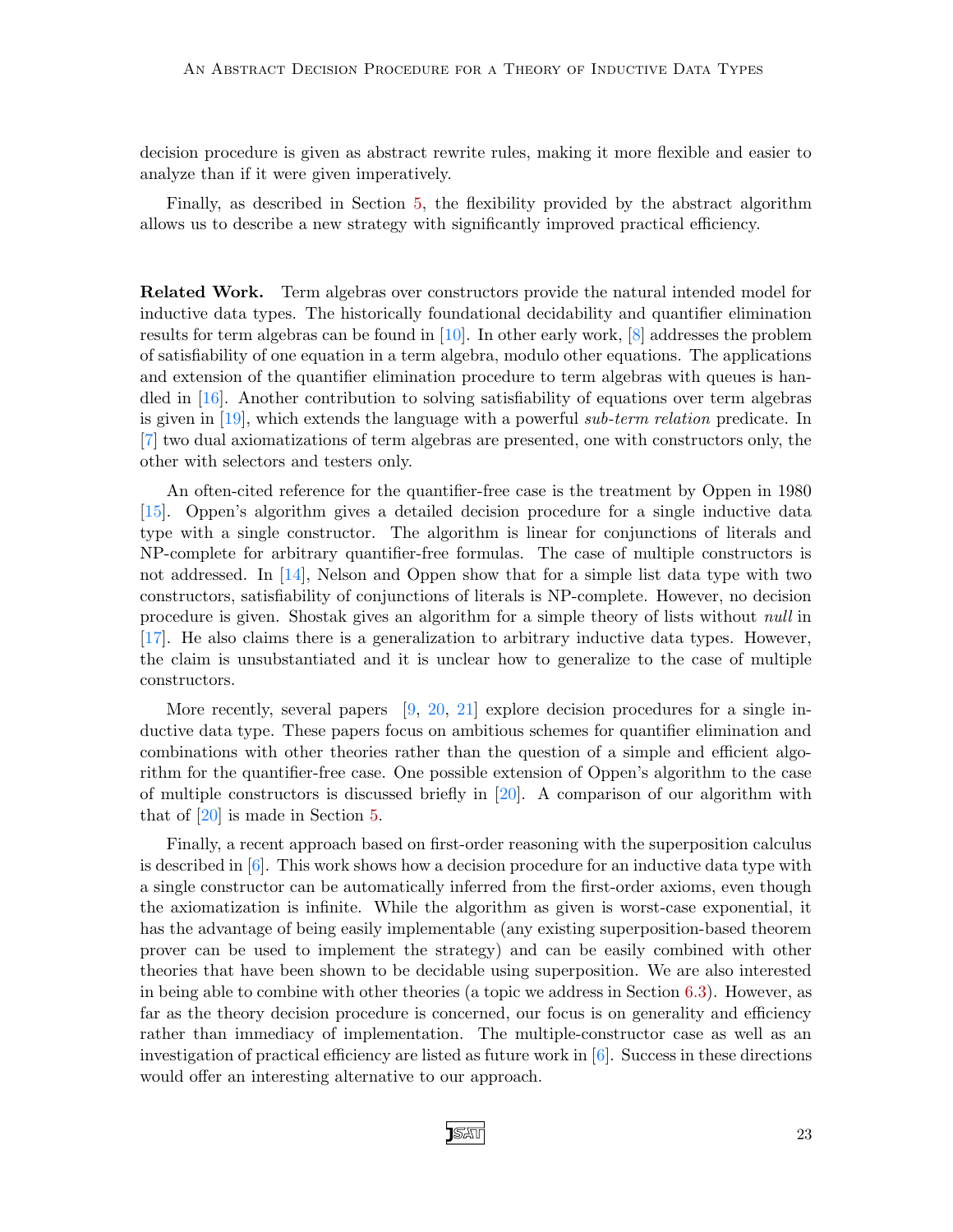decision procedure is given as abstract rewrite rules, making it more flexible and easier to analyze than if it were given imperatively.

Finally, as described in Section [5,](#page-20-0) the flexibility provided by the abstract algorithm allows us to describe a new strategy with significantly improved practical efficiency.

Related Work. Term algebras over constructors provide the natural intended model for inductive data types. The historically foundational decidability and quantifier elimination results for term algebras can be found in  $[10]$ . In other early work,  $[8]$  addresses the problem of satisfiability of one equation in a term algebra, modulo other equations. The applications and extension of the quantifier elimination procedure to term algebras with queues is handled in  $[16]$ . Another contribution to solving satisfiability of equations over term algebras is given in  $[19]$ , which extends the language with a powerful sub-term relation predicate. In [\[7\]](#page-25-0) two dual axiomatizations of term algebras are presented, one with constructors only, the other with selectors and testers only.

An often-cited reference for the quantifier-free case is the treatment by Oppen in 1980 [\[15\]](#page-25-8). Oppen's algorithm gives a detailed decision procedure for a single inductive data type with a single constructor. The algorithm is linear for conjunctions of literals and NP-complete for arbitrary quantifier-free formulas. The case of multiple constructors is not addressed. In  $[14]$ , Nelson and Oppen show that for a simple list data type with two constructors, satisfiability of conjunctions of literals is NP-complete. However, no decision procedure is given. Shostak gives an algorithm for a simple theory of lists without null in [\[17\]](#page-25-10). He also claims there is a generalization to arbitrary inductive data types. However, the claim is unsubstantiated and it is unclear how to generalize to the case of multiple constructors.

More recently, several papers  $[9, 20, 21]$  $[9, 20, 21]$  $[9, 20, 21]$  $[9, 20, 21]$  $[9, 20, 21]$  explore decision procedures for a single inductive data type. These papers focus on ambitious schemes for quantifier elimination and combinations with other theories rather than the question of a simple and efficient algorithm for the quantifier-free case. One possible extension of Oppen's algorithm to the case of multiple constructors is discussed briefly in [\[20\]](#page-25-2). A comparison of our algorithm with that of [\[20\]](#page-25-2) is made in Section [5.](#page-20-0)

Finally, a recent approach based on first-order reasoning with the superposition calculus is described in  $[6]$ . This work shows how a decision procedure for an inductive data type with a single constructor can be automatically inferred from the first-order axioms, even though the axiomatization is infinite. While the algorithm as given is worst-case exponential, it has the advantage of being easily implementable (any existing superposition-based theorem prover can be used to implement the strategy) and can be easily combined with other theories that have been shown to be decidable using superposition. We are also interested in being able to combine with other theories (a topic we address in Section [6.3\)](#page-23-0). However, as far as the theory decision procedure is concerned, our focus is on generality and efficiency rather than immediacy of implementation. The multiple-constructor case as well as an investigation of practical efficiency are listed as future work in  $[6]$ . Success in these directions would offer an interesting alternative to our approach.

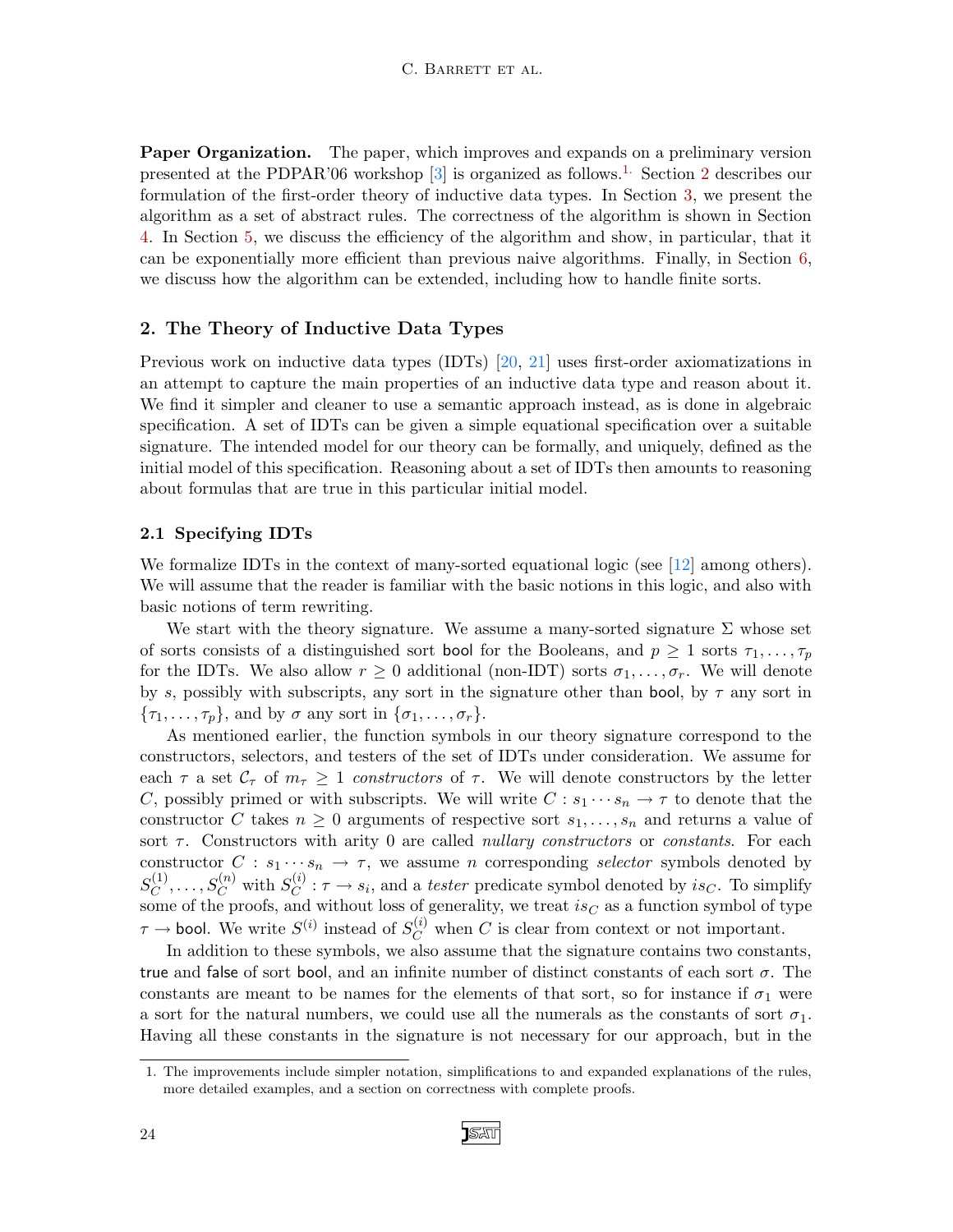Paper Organization. The paper, which improves and expands on a preliminary version presented at the PDPAR'06 workshop  $[3]$  is organized as follows.<sup>[1.](#page-3-0)</sup> Section [2](#page-3-1) describes our formulation of the first-order theory of inductive data types. In Section [3,](#page-5-0) we present the algorithm as a set of abstract rules. The correctness of the algorithm is shown in Section [4.](#page-13-0) In Section [5,](#page-20-0) we discuss the efficiency of the algorithm and show, in particular, that it can be exponentially more efficient than previous naive algorithms. Finally, in Section [6,](#page-22-0) we discuss how the algorithm can be extended, including how to handle finite sorts.

# <span id="page-3-1"></span>2. The Theory of Inductive Data Types

Previous work on inductive data types (IDTs) [\[20,](#page-25-2) [21\]](#page-25-3) uses first-order axiomatizations in an attempt to capture the main properties of an inductive data type and reason about it. We find it simpler and cleaner to use a semantic approach instead, as is done in algebraic specification. A set of IDTs can be given a simple equational specification over a suitable signature. The intended model for our theory can be formally, and uniquely, defined as the initial model of this specification. Reasoning about a set of IDTs then amounts to reasoning about formulas that are true in this particular initial model.

#### 2.1 Specifying IDTs

We formalize IDTs in the context of many-sorted equational logic (see [\[12\]](#page-25-12) among others). We will assume that the reader is familiar with the basic notions in this logic, and also with basic notions of term rewriting.

We start with the theory signature. We assume a many-sorted signature  $\Sigma$  whose set of sorts consists of a distinguished sort bool for the Booleans, and  $p \geq 1$  sorts  $\tau_1, \ldots, \tau_p$ for the IDTs. We also allow  $r \geq 0$  additional (non-IDT) sorts  $\sigma_1, \ldots, \sigma_r$ . We will denote by s, possibly with subscripts, any sort in the signature other than bool, by  $\tau$  any sort in  $\{\tau_1,\ldots,\tau_p\}$ , and by  $\sigma$  any sort in  $\{\sigma_1,\ldots,\sigma_r\}$ .

As mentioned earlier, the function symbols in our theory signature correspond to the constructors, selectors, and testers of the set of IDTs under consideration. We assume for each  $\tau$  a set  $\mathcal{C}_{\tau}$  of  $m_{\tau} \geq 1$  constructors of  $\tau$ . We will denote constructors by the letter C, possibly primed or with subscripts. We will write  $C: s_1 \cdots s_n \to \tau$  to denote that the constructor C takes  $n \geq 0$  arguments of respective sort  $s_1, \ldots, s_n$  and returns a value of sort  $\tau$ . Constructors with arity 0 are called *nullary constructors* or *constants*. For each constructor  $C : s_1 \cdots s_n \rightarrow \tau$ , we assume n corresponding selector symbols denoted by  $S_C^{(1)}$  $C^{(1)},\ldots,S_C^{(n)}$  with  $S_C^{(i)}$  $C^{(i)}$ :  $\tau \rightarrow s_i$ , and a *tester* predicate symbol denoted by *is*<sub>C</sub>. To simplify some of the proofs, and without loss of generality, we treat  $is<sub>C</sub>$  as a function symbol of type  $\tau \to$  bool. We write  $S^{(i)}$  instead of  $S_C^{(i)}$  when C is clear from context or not important.

In addition to these symbols, we also assume that the signature contains two constants, true and false of sort bool, and an infinite number of distinct constants of each sort  $\sigma$ . The constants are meant to be names for the elements of that sort, so for instance if  $\sigma_1$  were a sort for the natural numbers, we could use all the numerals as the constants of sort  $\sigma_1$ . Having all these constants in the signature is not necessary for our approach, but in the

<span id="page-3-0"></span><sup>1.</sup> The improvements include simpler notation, simplifications to and expanded explanations of the rules, more detailed examples, and a section on correctness with complete proofs.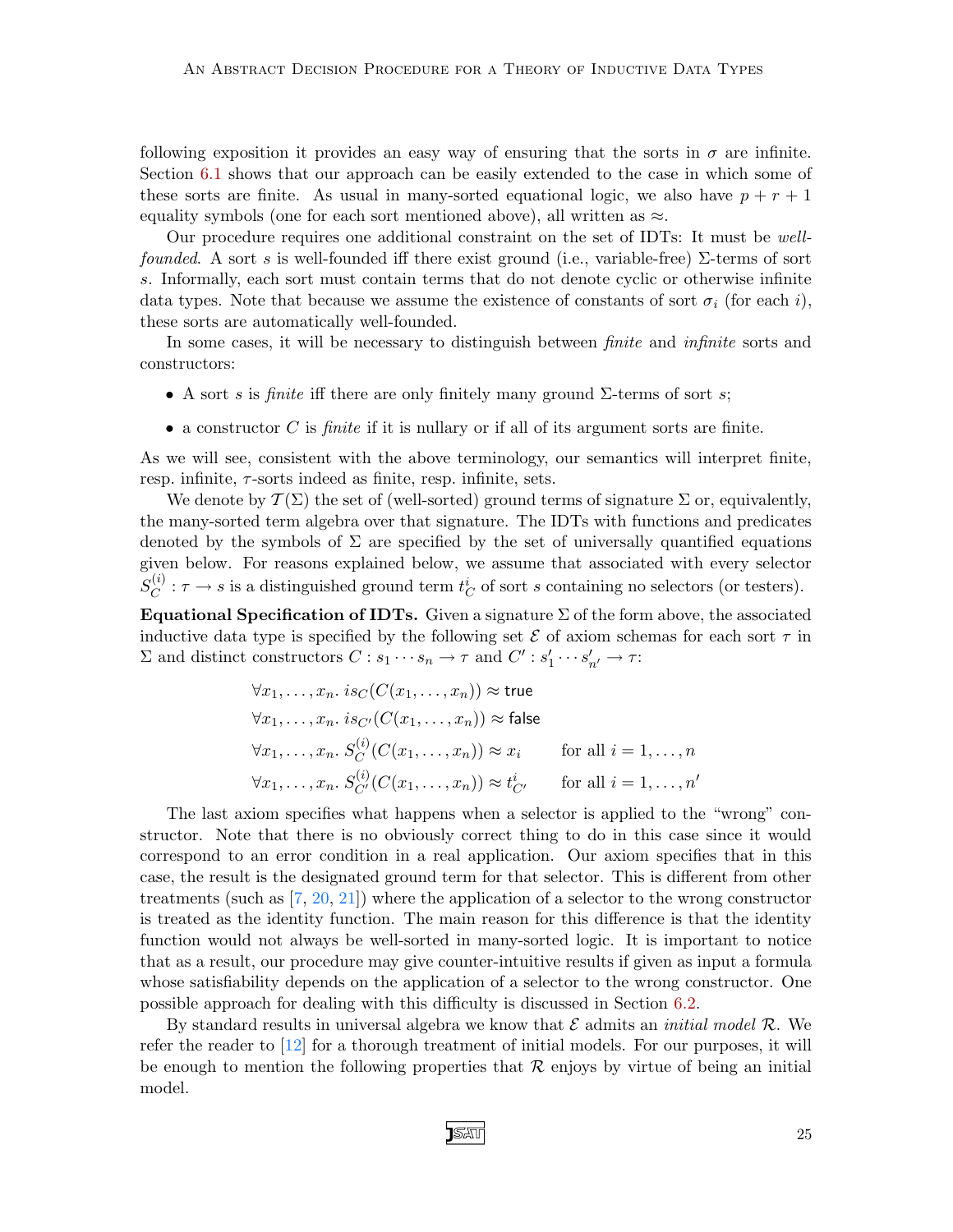following exposition it provides an easy way of ensuring that the sorts in  $\sigma$  are infinite. Section [6.1](#page-23-1) shows that our approach can be easily extended to the case in which some of these sorts are finite. As usual in many-sorted equational logic, we also have  $p + r + 1$ equality symbols (one for each sort mentioned above), all written as  $\approx$ .

Our procedure requires one additional constraint on the set of IDTs: It must be wellfounded. A sort s is well-founded iff there exist ground (i.e., variable-free) Σ-terms of sort s. Informally, each sort must contain terms that do not denote cyclic or otherwise infinite data types. Note that because we assume the existence of constants of sort  $\sigma_i$  (for each i), these sorts are automatically well-founded.

In some cases, it will be necessary to distinguish between *finite* and *infinite* sorts and constructors:

- A sort s is finite iff there are only finitely many ground  $\Sigma$ -terms of sort s;
- a constructor  $C$  is *finite* if it is nullary or if all of its argument sorts are finite.

As we will see, consistent with the above terminology, our semantics will interpret finite, resp. infinite,  $\tau$ -sorts indeed as finite, resp. infinite, sets.

We denote by  $\mathcal{T}(\Sigma)$  the set of (well-sorted) ground terms of signature  $\Sigma$  or, equivalently, the many-sorted term algebra over that signature. The IDTs with functions and predicates denoted by the symbols of  $\Sigma$  are specified by the set of universally quantified equations given below. For reasons explained below, we assume that associated with every selector  $S_C^{(i)}$  $C^{(i)}$ :  $\tau \to s$  is a distinguished ground term  $t_C^i$  of sort s containing no selectors (or testers).

**Equational Specification of IDTs.** Given a signature  $\Sigma$  of the form above, the associated inductive data type is specified by the following set  $\mathcal E$  of axiom schemas for each sort  $\tau$  in  $\Sigma$  and distinct constructors  $C: s_1 \cdots s_n \to \tau$  and  $C': s'_1 \cdots s'_{n'} \to \tau$ :

$$
\forall x_1, \dots, x_n. \text{ is } C(C(x_1, \dots, x_n)) \approx \text{true}
$$
  

$$
\forall x_1, \dots, x_n. \text{ is } C'(C(x_1, \dots, x_n)) \approx \text{false}
$$
  

$$
\forall x_1, \dots, x_n. \text{ } S_C^{(i)}(C(x_1, \dots, x_n)) \approx x_i \qquad \text{for all } i = 1, \dots, n
$$
  

$$
\forall x_1, \dots, x_n. \text{ } S_C^{(i)}(C(x_1, \dots, x_n)) \approx t_{C'}^i \qquad \text{for all } i = 1, \dots, n'
$$

The last axiom specifies what happens when a selector is applied to the "wrong" constructor. Note that there is no obviously correct thing to do in this case since it would correspond to an error condition in a real application. Our axiom specifies that in this case, the result is the designated ground term for that selector. This is different from other treatments (such as  $[7, 20, 21]$  $[7, 20, 21]$  $[7, 20, 21]$  $[7, 20, 21]$  $[7, 20, 21]$ ) where the application of a selector to the wrong constructor is treated as the identity function. The main reason for this difference is that the identity function would not always be well-sorted in many-sorted logic. It is important to notice that as a result, our procedure may give counter-intuitive results if given as input a formula whose satisfiability depends on the application of a selector to the wrong constructor. One possible approach for dealing with this difficulty is discussed in Section [6.2.](#page-23-2)

<span id="page-4-0"></span>By standard results in universal algebra we know that  $\mathcal E$  admits an *initial model*  $\mathcal R$ . We refer the reader to  $[12]$  for a thorough treatment of initial models. For our purposes, it will be enough to mention the following properties that  $\mathcal R$  enjoys by virtue of being an initial model.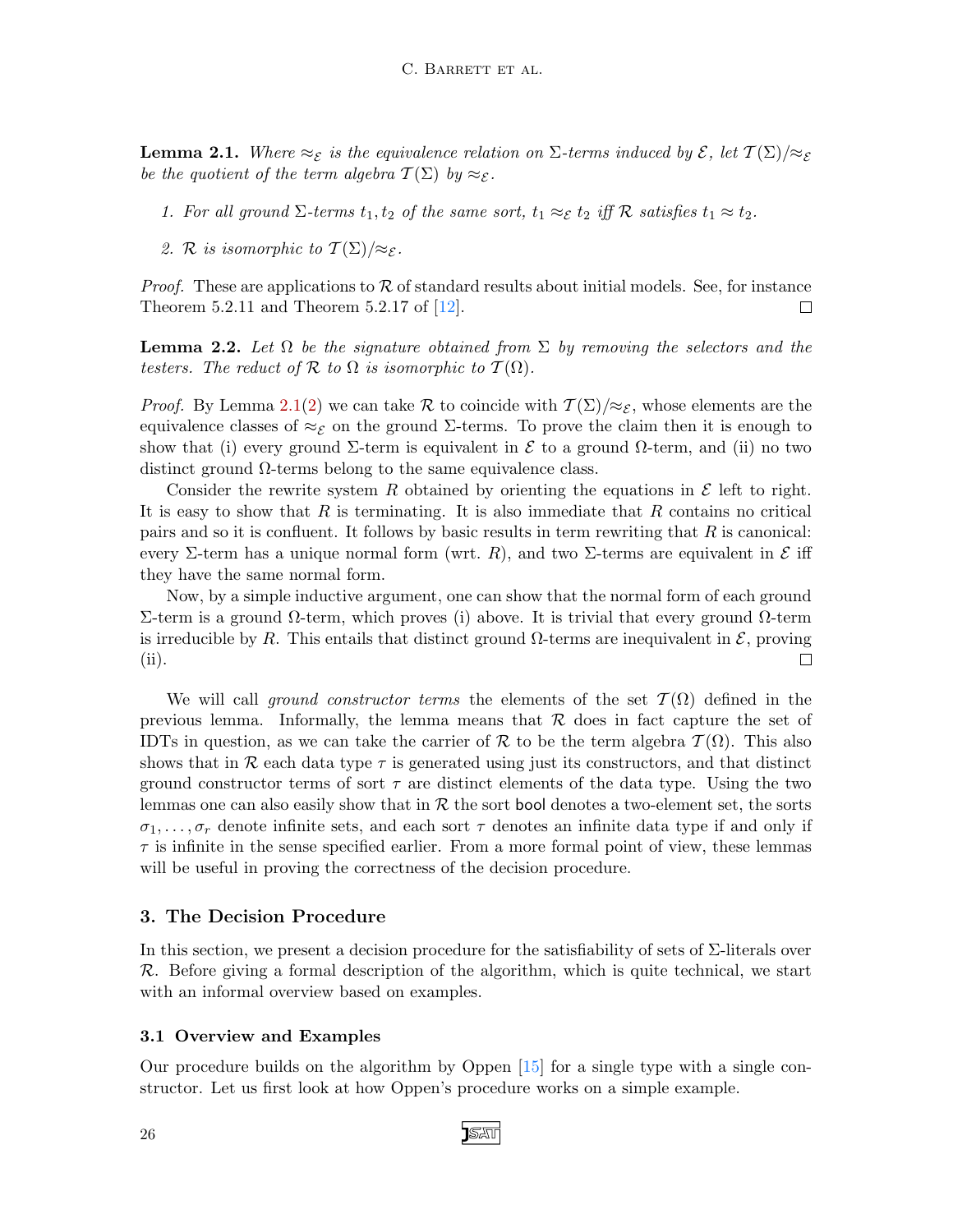<span id="page-5-1"></span>**Lemma 2.1.** Where  $\approx_{\mathcal{E}}$  is the equivalence relation on  $\Sigma$ -terms induced by  $\mathcal{E}$ , let  $\mathcal{T}(\Sigma)/\approx_{\mathcal{E}}$ be the quotient of the term algebra  $\mathcal{T}(\Sigma)$  by  $\approx_{\mathcal{E}}$ .

- 1. For all ground  $\Sigma$ -terms  $t_1, t_2$  of the same sort,  $t_1 \approx_{\mathcal{E}} t_2$  iff R satisfies  $t_1 \approx t_2$ .
- 2. R is isomorphic to  $\mathcal{T}(\Sigma)/\approx_{\mathcal{E}}$ .

*Proof.* These are applications to  $\mathcal R$  of standard results about initial models. See, for instance Theorem 5.2.11 and Theorem 5.2.17 of [\[12\]](#page-25-12).  $\Box$ 

<span id="page-5-3"></span>**Lemma 2.2.** Let  $\Omega$  be the signature obtained from  $\Sigma$  by removing the selectors and the testers. The reduct of  $\mathcal R$  to  $\Omega$  is isomorphic to  $\mathcal T(\Omega)$ .

*Proof.* By Lemma [2.1\(](#page-4-0)[2\)](#page-5-1) we can take R to coincide with  $T(\Sigma)/\approx_{\mathcal{E}}$ , whose elements are the equivalence classes of  $\approx_{\mathcal{E}}$  on the ground  $\Sigma$ -terms. To prove the claim then it is enough to show that (i) every ground  $\Sigma$ -term is equivalent in  $\mathcal E$  to a ground  $\Omega$ -term, and (ii) no two distinct ground  $\Omega$ -terms belong to the same equivalence class.

Consider the rewrite system R obtained by orienting the equations in  $\mathcal E$  left to right. It is easy to show that  $R$  is terminating. It is also immediate that  $R$  contains no critical pairs and so it is confluent. It follows by basic results in term rewriting that  $R$  is canonical: every  $\Sigma$ -term has a unique normal form (wrt. R), and two  $\Sigma$ -terms are equivalent in  $\mathcal E$  iff they have the same normal form.

Now, by a simple inductive argument, one can show that the normal form of each ground Σ-term is a ground Ω-term, which proves (i) above. It is trivial that every ground Ω-term is irreducible by R. This entails that distinct ground  $\Omega$ -terms are inequivalent in  $\mathcal{E}$ , proving  $\Box$ (ii).

We will call ground constructor terms the elements of the set  $\mathcal{T}(\Omega)$  defined in the previous lemma. Informally, the lemma means that  $\mathcal R$  does in fact capture the set of IDTs in question, as we can take the carrier of R to be the term algebra  $\mathcal{T}(\Omega)$ . This also shows that in  $\mathcal R$  each data type  $\tau$  is generated using just its constructors, and that distinct ground constructor terms of sort  $\tau$  are distinct elements of the data type. Using the two lemmas one can also easily show that in  $R$  the sort bool denotes a two-element set, the sorts  $\sigma_1, \ldots, \sigma_r$  denote infinite sets, and each sort  $\tau$  denotes an infinite data type if and only if  $\tau$  is infinite in the sense specified earlier. From a more formal point of view, these lemmas will be useful in proving the correctness of the decision procedure.

## <span id="page-5-0"></span>3. The Decision Procedure

In this section, we present a decision procedure for the satisfiability of sets of  $\Sigma$ -literals over R. Before giving a formal description of the algorithm, which is quite technical, we start with an informal overview based on examples.

# 3.1 Overview and Examples

<span id="page-5-2"></span>Our procedure builds on the algorithm by Oppen  $[15]$  for a single type with a single constructor. Let us first look at how Oppen's procedure works on a simple example.

]SATI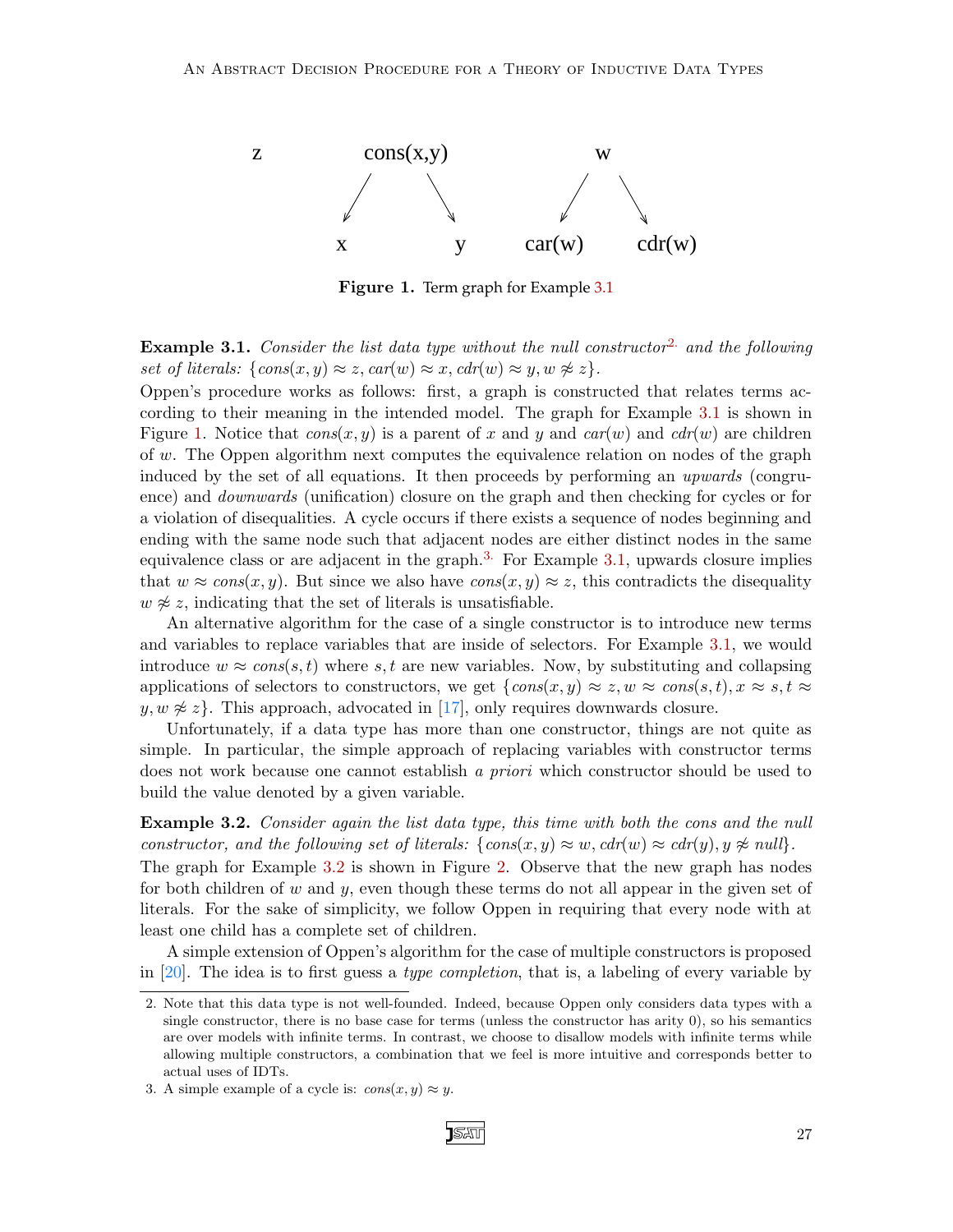

<span id="page-6-1"></span>Figure 1. Term graph for Example [3.1](#page-5-2)

**Example 3.1.** Consider the list data type without the null constructor<sup>[2.](#page-6-0)</sup> and the following set of literals:  $\{cons(x, y) \approx z, car(w) \approx x, cdr(w) \approx y, w \not\approx z\}.$ 

Oppen's procedure works as follows: first, a graph is constructed that relates terms according to their meaning in the intended model. The graph for Example [3.1](#page-5-2) is shown in Figure [1.](#page-6-1) Notice that  $cons(x, y)$  is a parent of x and y and  $car(w)$  and  $cdr(w)$  are children of w. The Oppen algorithm next computes the equivalence relation on nodes of the graph induced by the set of all equations. It then proceeds by performing an *upwards* (congruence) and downwards (unification) closure on the graph and then checking for cycles or for a violation of disequalities. A cycle occurs if there exists a sequence of nodes beginning and ending with the same node such that adjacent nodes are either distinct nodes in the same equivalence class or are adjacent in the graph.<sup>[3.](#page-6-2)</sup> For Example  $3.1$ , upwards closure implies that  $w \approx \text{cons}(x, y)$ . But since we also have  $\text{cons}(x, y) \approx z$ , this contradicts the disequality  $w \not\approx z$ , indicating that the set of literals is unsatisfiable.

An alternative algorithm for the case of a single constructor is to introduce new terms and variables to replace variables that are inside of selectors. For Example [3.1,](#page-5-2) we would introduce  $w \approx \text{cons}(s,t)$  where s, t are new variables. Now, by substituting and collapsing applications of selectors to constructors, we get  $\{cons(x, y) \approx z, w \approx cons(s, t), x \approx s, t \approx s\}$  $y, w \not\approx z$ . This approach, advocated in [\[17\]](#page-25-10), only requires downwards closure.

Unfortunately, if a data type has more than one constructor, things are not quite as simple. In particular, the simple approach of replacing variables with constructor terms does not work because one cannot establish a priori which constructor should be used to build the value denoted by a given variable.

<span id="page-6-3"></span>**Example 3.2.** Consider again the list data type, this time with both the cons and the null constructor, and the following set of literals: {cons(x, y)  $\approx w$ , cdr(w)  $\approx cdr(y)$ ,  $y \not\approx null$ }.

The graph for Example [3.2](#page-6-3) is shown in Figure [2.](#page-7-0) Observe that the new graph has nodes for both children of w and y, even though these terms do not all appear in the given set of literals. For the sake of simplicity, we follow Oppen in requiring that every node with at least one child has a complete set of children.

A simple extension of Oppen's algorithm for the case of multiple constructors is proposed in  $[20]$ . The idea is to first guess a *type completion*, that is, a labeling of every variable by

<span id="page-6-0"></span><sup>2.</sup> Note that this data type is not well-founded. Indeed, because Oppen only considers data types with a single constructor, there is no base case for terms (unless the constructor has arity 0), so his semantics are over models with infinite terms. In contrast, we choose to disallow models with infinite terms while allowing multiple constructors, a combination that we feel is more intuitive and corresponds better to actual uses of IDTs.

<span id="page-6-2"></span><sup>3.</sup> A simple example of a cycle is:  $cons(x, y) \approx y$ .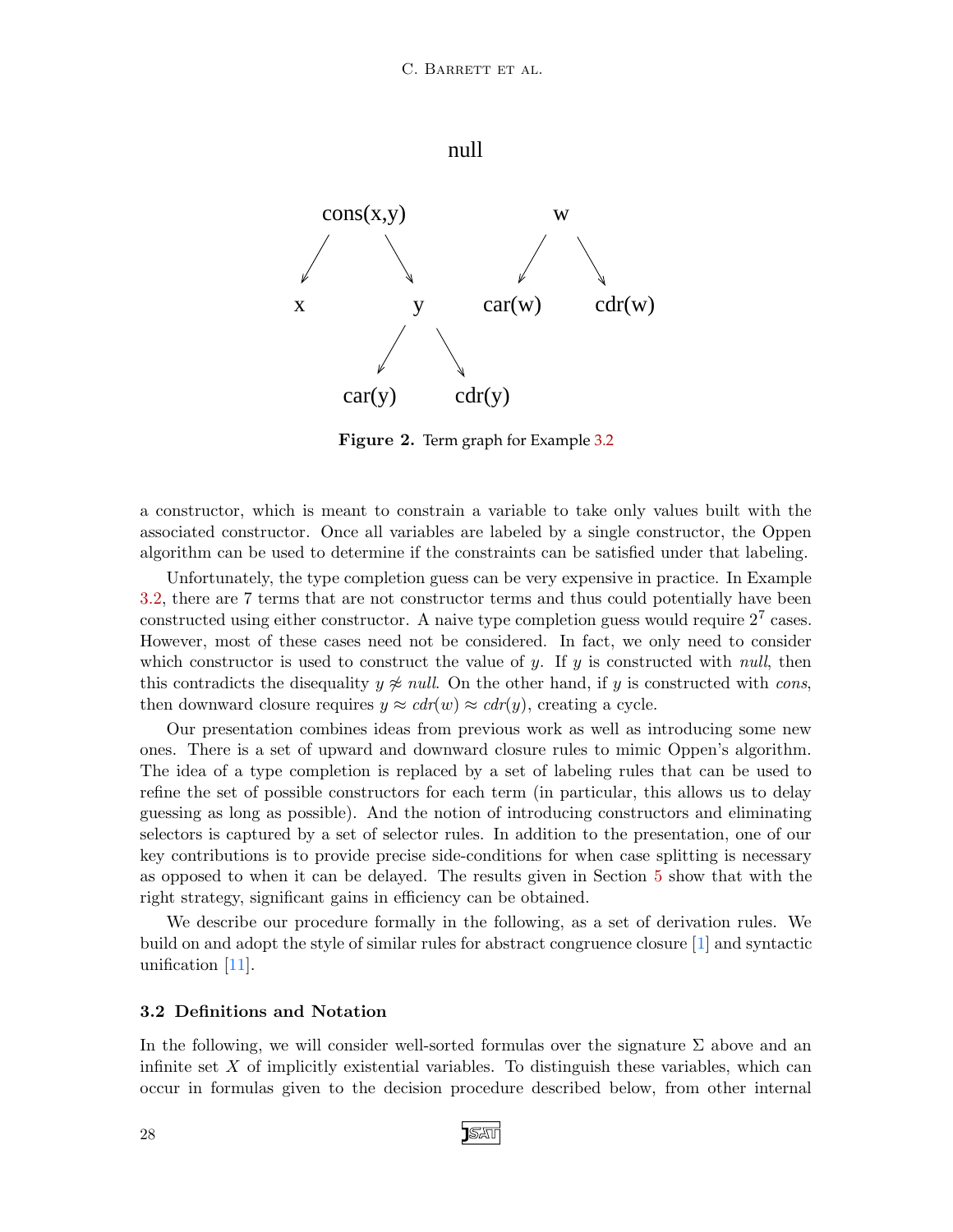

<span id="page-7-0"></span>Figure 2. Term graph for Example [3.2](#page-6-3)

a constructor, which is meant to constrain a variable to take only values built with the associated constructor. Once all variables are labeled by a single constructor, the Oppen algorithm can be used to determine if the constraints can be satisfied under that labeling.

Unfortunately, the type completion guess can be very expensive in practice. In Example [3.2,](#page-6-3) there are 7 terms that are not constructor terms and thus could potentially have been constructed using either constructor. A naive type completion guess would require  $2<sup>7</sup>$  cases. However, most of these cases need not be considered. In fact, we only need to consider which constructor is used to construct the value of y. If y is constructed with *null*, then this contradicts the disequality  $y \not\approx null$ . On the other hand, if y is constructed with cons, then downward closure requires  $y \approx c dr(w) \approx c dr(y)$ , creating a cycle.

Our presentation combines ideas from previous work as well as introducing some new ones. There is a set of upward and downward closure rules to mimic Oppen's algorithm. The idea of a type completion is replaced by a set of labeling rules that can be used to refine the set of possible constructors for each term (in particular, this allows us to delay guessing as long as possible). And the notion of introducing constructors and eliminating selectors is captured by a set of selector rules. In addition to the presentation, one of our key contributions is to provide precise side-conditions for when case splitting is necessary as opposed to when it can be delayed. The results given in Section [5](#page-20-0) show that with the right strategy, significant gains in efficiency can be obtained.

We describe our procedure formally in the following, as a set of derivation rules. We build on and adopt the style of similar rules for abstract congruence closure [\[1\]](#page-24-1) and syntactic unification [\[11\]](#page-25-13).

#### 3.2 Definitions and Notation

In the following, we will consider well-sorted formulas over the signature  $\Sigma$  above and an infinite set  $X$  of implicitly existential variables. To distinguish these variables, which can occur in formulas given to the decision procedure described below, from other internal

]SAT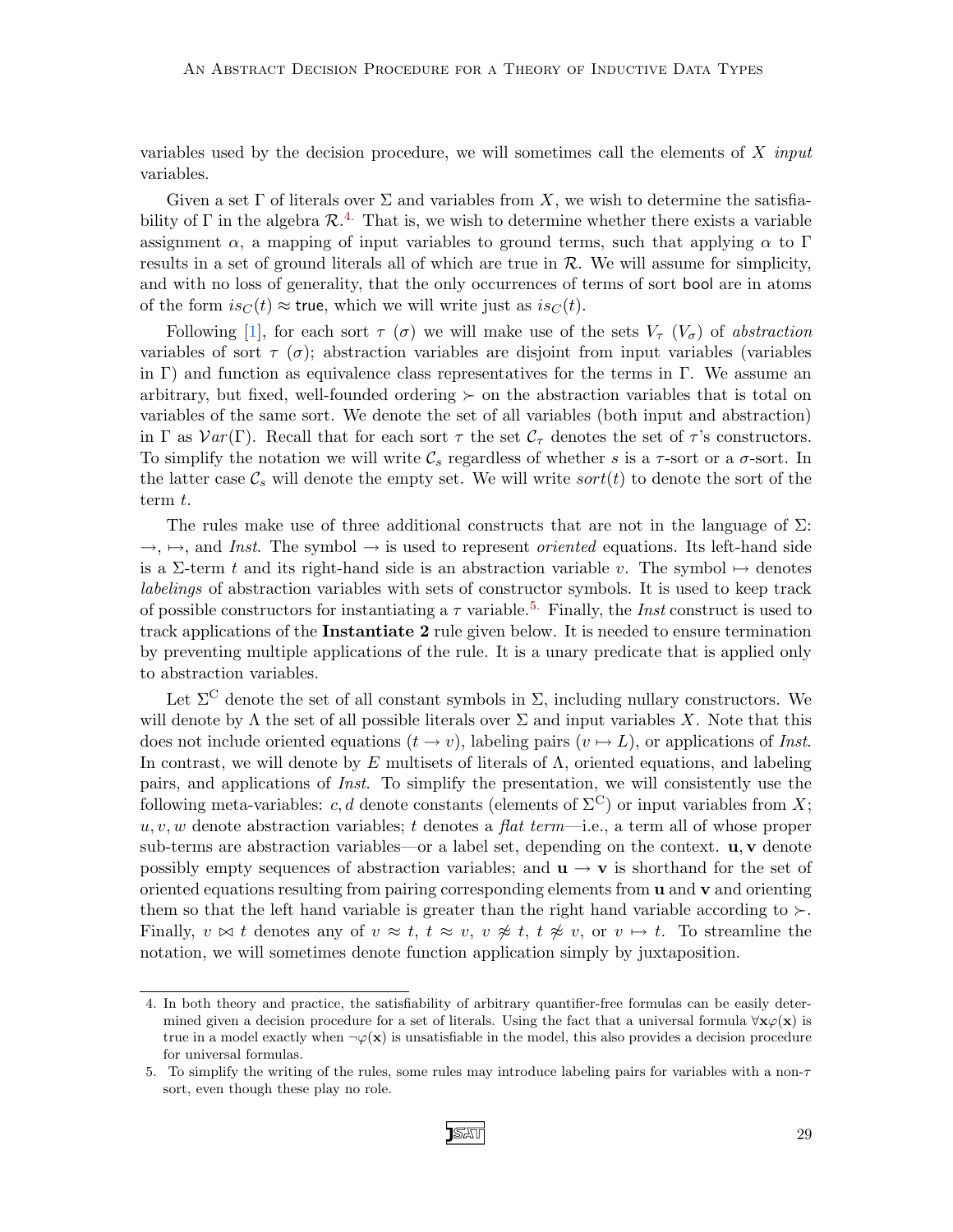variables used by the decision procedure, we will sometimes call the elements of  $X$  input variables.

Given a set Γ of literals over Σ and variables from X, we wish to determine the satisfiability of  $\Gamma$  in the algebra  $\mathcal{R}$ .<sup>4</sup>. That is, we wish to determine whether there exists a variable assignment  $\alpha$ , a mapping of input variables to ground terms, such that applying  $\alpha$  to  $\Gamma$ results in a set of ground literals all of which are true in  $\mathcal{R}$ . We will assume for simplicity, and with no loss of generality, that the only occurrences of terms of sort bool are in atoms of the form  $is_{C}(t) \approx$  true, which we will write just as  $is_{C}(t)$ .

Following [\[1\]](#page-24-1), for each sort  $\tau$  ( $\sigma$ ) we will make use of the sets  $V_{\tau}$  ( $V_{\sigma}$ ) of abstraction variables of sort  $\tau$  ( $\sigma$ ); abstraction variables are disjoint from input variables (variables in Γ) and function as equivalence class representatives for the terms in Γ. We assume an arbitrary, but fixed, well-founded ordering  $\succ$  on the abstraction variables that is total on variables of the same sort. We denote the set of all variables (both input and abstraction) in Γ as  $Var(\Gamma)$ . Recall that for each sort  $\tau$  the set  $C_{\tau}$  denotes the set of  $\tau$ 's constructors. To simplify the notation we will write  $\mathcal{C}_s$  regardless of whether s is a  $\tau$ -sort or a  $\sigma$ -sort. In the latter case  $\mathcal{C}_s$  will denote the empty set. We will write sort(t) to denote the sort of the term t.

The rules make use of three additional constructs that are not in the language of  $\Sigma$ :  $\rightarrow$ ,  $\rightarrow$ , and *Inst.* The symbol  $\rightarrow$  is used to represent *oriented* equations. Its left-hand side is a  $\Sigma$ -term t and its right-hand side is an abstraction variable v. The symbol  $\mapsto$  denotes labelings of abstraction variables with sets of constructor symbols. It is used to keep track of possible constructors for instantiating a  $\tau$  variable.<sup>[5.](#page-8-1)</sup> Finally, the *Inst* construct is used to track applications of the Instantiate 2 rule given below. It is needed to ensure termination by preventing multiple applications of the rule. It is a unary predicate that is applied only to abstraction variables.

Let  $\Sigma^C$  denote the set of all constant symbols in  $\Sigma$ , including nullary constructors. We will denote by  $\Lambda$  the set of all possible literals over  $\Sigma$  and input variables X. Note that this does not include oriented equations  $(t \to v)$ , labeling pairs  $(v \mapsto L)$ , or applications of Inst. In contrast, we will denote by E multisets of literals of  $\Lambda$ , oriented equations, and labeling pairs, and applications of Inst. To simplify the presentation, we will consistently use the following meta-variables:  $c, d$  denote constants (elements of  $\Sigma^{\mathcal{C}}$ ) or input variables from X;  $u, v, w$  denote abstraction variables; t denotes a *flat term*—i.e., a term all of whose proper sub-terms are abstraction variables—or a label set, depending on the context.  $\bf{u}, \bf{v}$  denote possibly empty sequences of abstraction variables; and  $\mathbf{u} \to \mathbf{v}$  is shorthand for the set of oriented equations resulting from pairing corresponding elements from  $\bf{u}$  and  $\bf{v}$  and orienting them so that the left hand variable is greater than the right hand variable according to  $\succ$ . Finally,  $v \approx t$  denotes any of  $v \approx t$ ,  $t \approx v$ ,  $v \not\approx t$ ,  $t \not\approx v$ , or  $v \mapsto t$ . To streamline the notation, we will sometimes denote function application simply by juxtaposition.

<span id="page-8-0"></span><sup>4.</sup> In both theory and practice, the satisfiability of arbitrary quantifier-free formulas can be easily determined given a decision procedure for a set of literals. Using the fact that a universal formula  $\forall x\varphi(x)$  is true in a model exactly when  $\neg \varphi(\mathbf{x})$  is unsatisfiable in the model, this also provides a decision procedure for universal formulas.

<span id="page-8-1"></span><sup>5.</sup> To simplify the writing of the rules, some rules may introduce labeling pairs for variables with a non- $\tau$ sort, even though these play no role.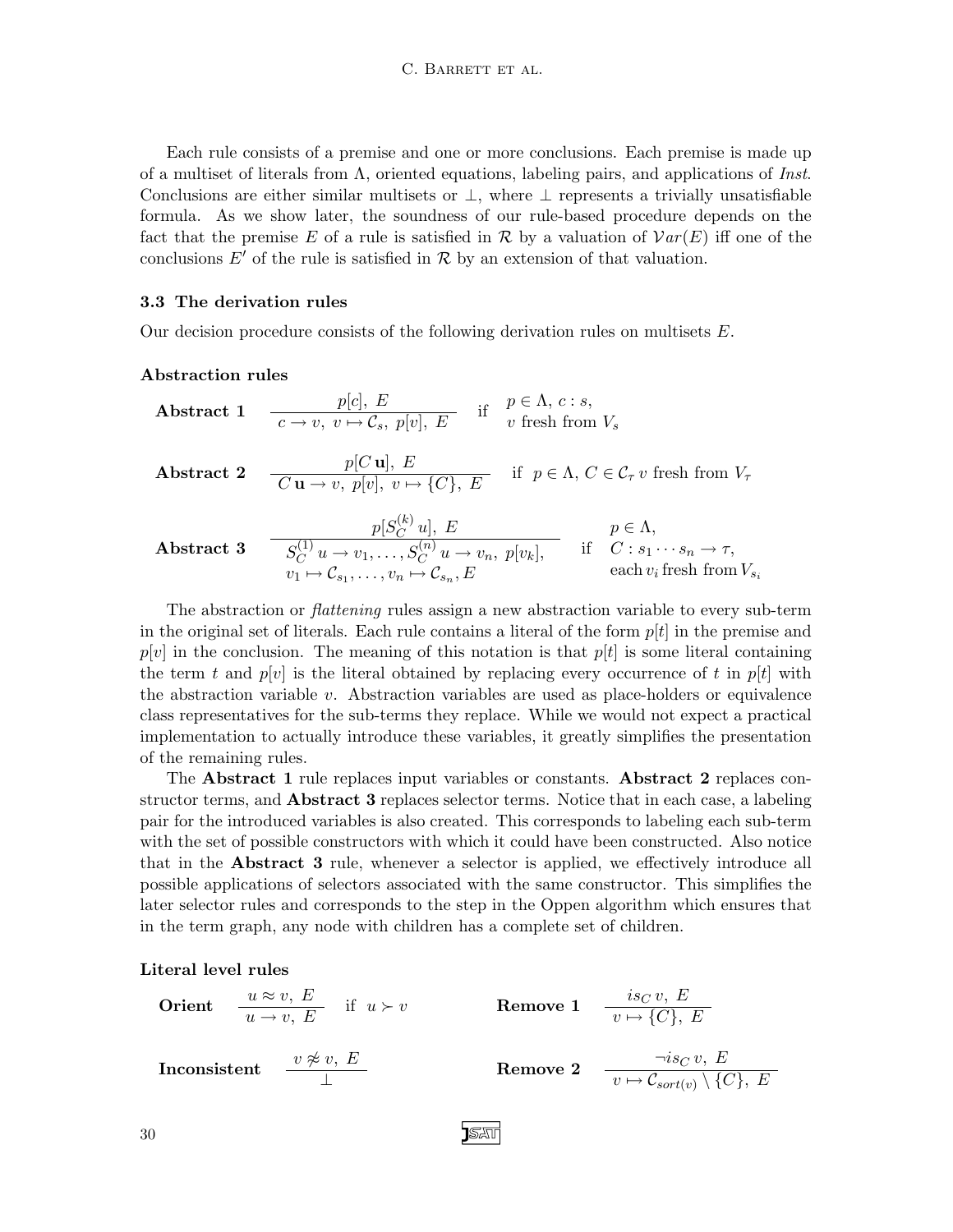Each rule consists of a premise and one or more conclusions. Each premise is made up of a multiset of literals from  $\Lambda$ , oriented equations, labeling pairs, and applications of Inst. Conclusions are either similar multisets or  $\perp$ , where  $\perp$  represents a trivially unsatisfiable formula. As we show later, the soundness of our rule-based procedure depends on the fact that the premise E of a rule is satisfied in R by a valuation of  $Var(E)$  iff one of the conclusions  $E'$  of the rule is satisfied in  $\mathcal R$  by an extension of that valuation.

#### 3.3 The derivation rules

Our decision procedure consists of the following derivation rules on multisets E.

#### Abstraction rules

Abstract 1  $p[c], E$  $p[c], E$ <br>  $c \to v, v \mapsto C_s, p[v], E$  if  $p \in \Lambda, c : s$ ,<br>
v fresh from  $V_s$ 

**Abstract 2** 
$$
\frac{p[C\mathbf{u}], E}{C\mathbf{u} \to v, p[v], v \mapsto \{C\}, E} \quad \text{if } p \in \Lambda, C \in \mathcal{C}_{\tau} v \text{ fresh from } V_{\tau}
$$

**Abstract 3** 
$$
\frac{p[S_C^{(k)} u], E}{S_C^{(1)} u \to v_1, \dots, S_C^{(n)} u \to v_n, p[v_k],}
$$
 if  $C : s_1 \cdots s_n \to \tau$ ,  
\n $v_1 \mapsto C_{s_1}, \dots, v_n \mapsto C_{s_n}, E$  *if*  $C : s_1 \cdots s_n \to \tau$ ,  
\neach  $v_i$  fresh from  $V_{s_i}$ 

The abstraction or *flattening* rules assign a new abstraction variable to every sub-term in the original set of literals. Each rule contains a literal of the form  $p[t]$  in the premise and  $p[v]$  in the conclusion. The meaning of this notation is that  $p[t]$  is some literal containing the term t and  $p[v]$  is the literal obtained by replacing every occurrence of t in  $p[t]$  with the abstraction variable  $v$ . Abstraction variables are used as place-holders or equivalence class representatives for the sub-terms they replace. While we would not expect a practical implementation to actually introduce these variables, it greatly simplifies the presentation of the remaining rules.

The Abstract 1 rule replaces input variables or constants. Abstract 2 replaces constructor terms, and **Abstract 3** replaces selector terms. Notice that in each case, a labeling pair for the introduced variables is also created. This corresponds to labeling each sub-term with the set of possible constructors with which it could have been constructed. Also notice that in the Abstract 3 rule, whenever a selector is applied, we effectively introduce all possible applications of selectors associated with the same constructor. This simplifies the later selector rules and corresponds to the step in the Oppen algorithm which ensures that in the term graph, any node with children has a complete set of children.

#### Literal level rules

| Orient       | $u \approx v$ , $E$     | if $u \succ v$ | Remove 1                                | $\frac{is_C v}{v \mapsto \{C\}}$ , $E$ |
|--------------|-------------------------|----------------|-----------------------------------------|----------------------------------------|
| Inconsistent | $v \not\approx v$ , $E$ | Remove 2       | $\frac{-is_C v}{v \mapsto \{C\}}$ , $E$ |                                        |

]SATI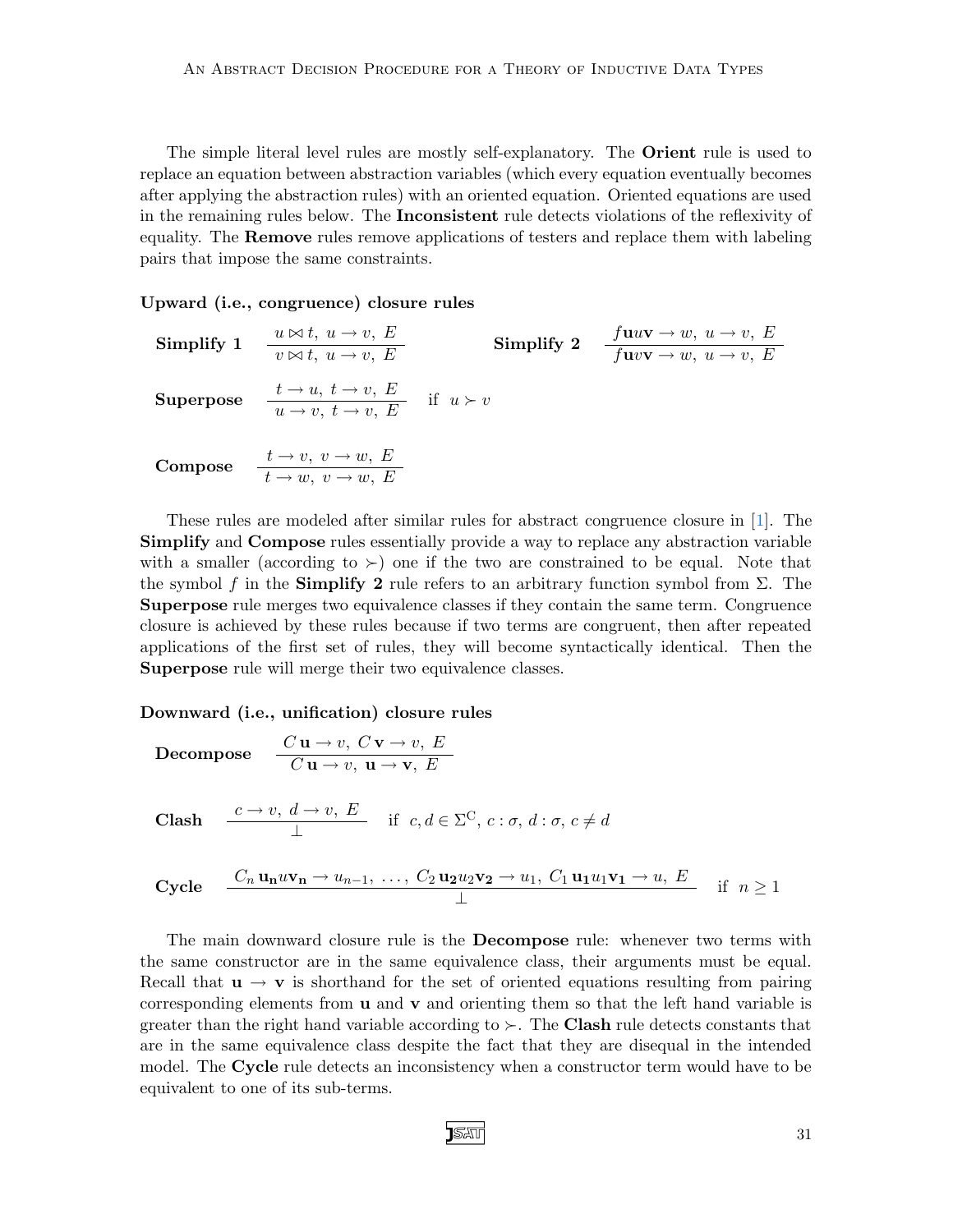The simple literal level rules are mostly self-explanatory. The Orient rule is used to replace an equation between abstraction variables (which every equation eventually becomes after applying the abstraction rules) with an oriented equation. Oriented equations are used in the remaining rules below. The Inconsistent rule detects violations of the reflexivity of equality. The **Remove** rules remove applications of testers and replace them with labeling pairs that impose the same constraints.

#### Upward (i.e., congruence) closure rules

| Simplify 1 | $u \bowtie t, u \rightarrow v, E$<br>$v \bowtie t, u \rightarrow v, E$ | Simplify 2     | $f \mathbf{u} u \mathbf{v} \to w, u \to v, E$<br>$fuvv \rightarrow w, u \rightarrow v, E$ |
|------------|------------------------------------------------------------------------|----------------|-------------------------------------------------------------------------------------------|
| Superpose  | $\frac{t \to u, t \to v, E}{u \to v, t \to v, E}$                      | if $u \succ v$ |                                                                                           |
| Compose    | $t \to v, v \to w, E$<br>$t \to w, v \to w, E$                         |                |                                                                                           |

These rules are modeled after similar rules for abstract congruence closure in [\[1\]](#page-24-1). The Simplify and Compose rules essentially provide a way to replace any abstraction variable with a smaller (according to  $\succ$ ) one if the two are constrained to be equal. Note that the symbol f in the **Simplify 2** rule refers to an arbitrary function symbol from  $\Sigma$ . The Superpose rule merges two equivalence classes if they contain the same term. Congruence closure is achieved by these rules because if two terms are congruent, then after repeated applications of the first set of rules, they will become syntactically identical. Then the Superpose rule will merge their two equivalence classes.

#### Downward (i.e., unification) closure rules

Decompose 
$$
\frac{C \mathbf{u} \to v, C \mathbf{v} \to v, E}{C \mathbf{u} \to v, \mathbf{u} \to \mathbf{v}, E}
$$
  
Class 
$$
\frac{c \to v, d \to v, E}{\perp}
$$
 if  $c, d \in \Sigma^C$ ,  $c : \sigma, d : \sigma, c \neq d$   
Cycle 
$$
\frac{C_n \mathbf{u}_n u v_n \to u_{n-1}, \dots, C_2 \mathbf{u}_2 u_2 v_2 \to u_1, C_1 \mathbf{u}_1 u_1 v_1 \to u, E}{\perp}
$$
 if  $n \ge 1$ 

The main downward closure rule is the Decompose rule: whenever two terms with the same constructor are in the same equivalence class, their arguments must be equal. Recall that  $u \rightarrow v$  is shorthand for the set of oriented equations resulting from pairing corresponding elements from  $\bf{u}$  and  $\bf{v}$  and orienting them so that the left hand variable is greater than the right hand variable according to  $\succ$ . The **Clash** rule detects constants that are in the same equivalence class despite the fact that they are disequal in the intended model. The Cycle rule detects an inconsistency when a constructor term would have to be equivalent to one of its sub-terms.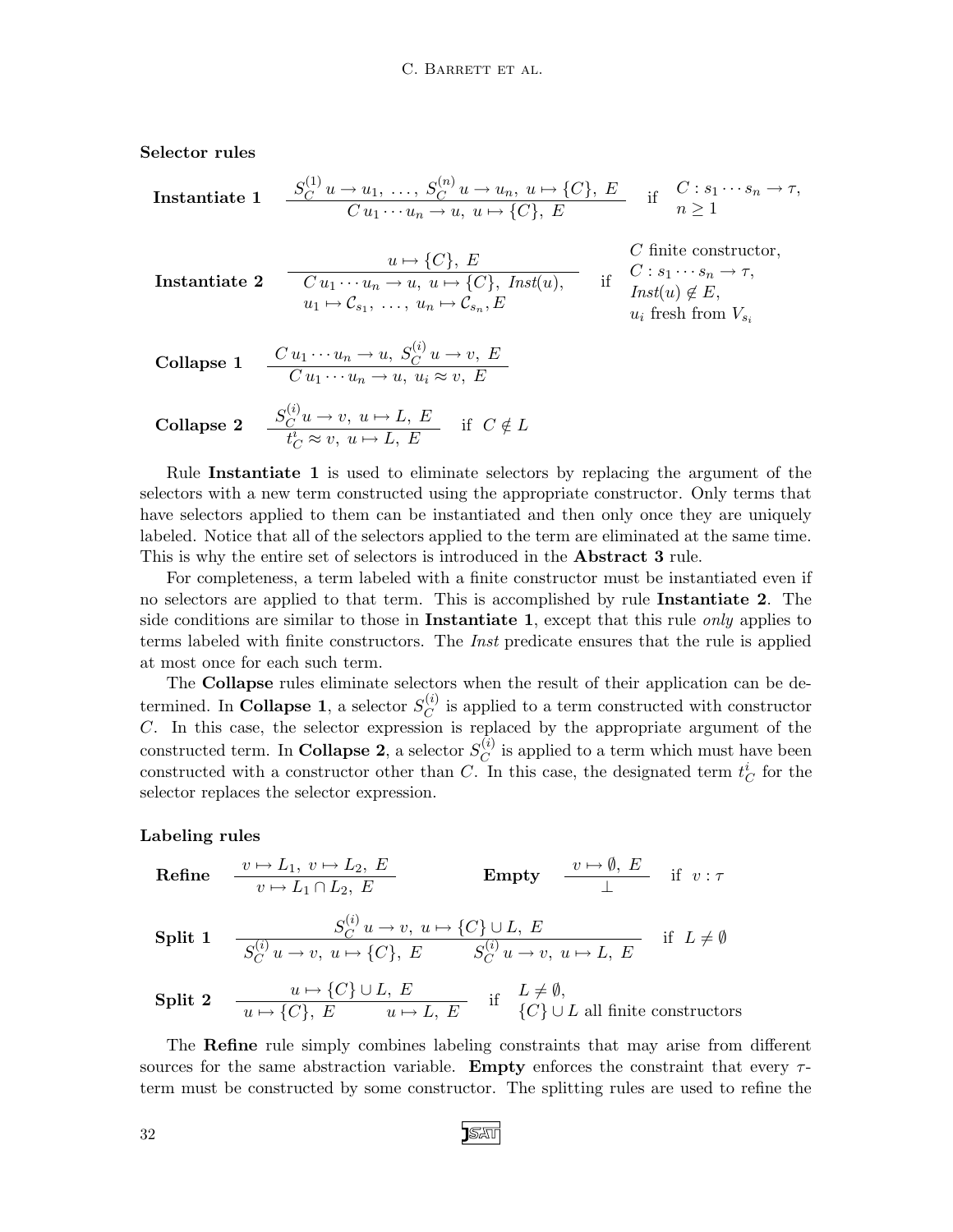Selector rules

**Instantiate 1** 
$$
\frac{S_C^{(1)}u \to u_1, \ldots, S_C^{(n)}u \to u_n, u \mapsto \{C\}, E}{C u_1 \cdots u_n \to u, u \mapsto \{C\}, E} \quad \text{if} \quad \frac{C : s_1 \cdots s_n \to \tau}{n \geq 1}
$$

**Instantiate 2** 
$$
\overline{C u_1 \cdots u_n} \rightarrow u, \ u \mapsto \{C\}, \ \overline{L u_1 \cdots u_n} \rightarrow u, \ u \mapsto \{C\}, \ \overline{L u_1 u_1} \rightarrow C_{s_1}, \ \dots, \ u_n \mapsto C_{s_n}, E
$$
\n
$$
\overline{L u_1 \cdots u_n} \rightarrow L u, \ u \mapsto L u, E
$$
\n
$$
\overline{L u_1 u} \rightarrow L u, \ \overline{L u} \rightarrow L u, \ \overline{L u} \quad \overline{L u} \quad \overline{L u} \quad \overline{L u} \quad \overline{L u} \quad \overline{L u} \quad \overline{L u} \quad \overline{L u} \quad \overline{L u} \quad \overline{L u} \quad \overline{L u} \quad \overline{L u} \quad \overline{L u} \quad \overline{L u} \quad \overline{L u} \quad \overline{L u} \quad \overline{L u} \quad \overline{L u} \quad \overline{L u} \quad \overline{L u} \quad \overline{L u} \quad \overline{L u} \quad \overline{L u} \quad \overline{L u} \quad \overline{L u} \quad \overline{L u} \quad \overline{L u} \quad \overline{L u} \quad \overline{L u} \quad \overline{L u} \quad \overline{L u} \quad \overline{L u} \quad \overline{L u} \quad \overline{L u} \quad \overline{L u} \quad \overline{L u} \quad \overline{L u} \quad \overline{L u} \quad \overline{L u} \quad \overline{L u} \quad \overline{L u} \quad \overline{L u} \quad \overline{L u} \quad \overline{L u} \quad \overline{L u} \quad \overline{L u} \quad \overline{L u} \quad \overline{L u} \quad \overline{L u} \quad \overline{L u} \quad \overline{L u} \quad \overline{L u} \quad \overline{L u} \quad \overline{L u} \quad \overline{L u} \quad \overline{L u} \quad \overline{L u} \quad \overline{L u} \quad \overline{L u} \quad \overline{L u} \quad \overline{L u} \quad \overline{L u} \quad \overline{L u} \quad \overline{L u} \quad \overline{L u
$$

$$
\text{Collapse 1} \quad \frac{C u_1 \cdots u_n \to u, \ S_C^{(i)} u \to v, \ E}{C u_1 \cdots u_n \to u, \ u_i \approx v, \ E}
$$

**Collapse 2** 
$$
\frac{S_C^{(i)}u \to v, u \mapsto L, E}{t_C^i \approx v, u \mapsto L, E} \quad \text{if } C \notin L
$$

Rule Instantiate 1 is used to eliminate selectors by replacing the argument of the selectors with a new term constructed using the appropriate constructor. Only terms that have selectors applied to them can be instantiated and then only once they are uniquely labeled. Notice that all of the selectors applied to the term are eliminated at the same time. This is why the entire set of selectors is introduced in the Abstract 3 rule.

For completeness, a term labeled with a finite constructor must be instantiated even if no selectors are applied to that term. This is accomplished by rule Instantiate 2. The side conditions are similar to those in **Instantiate 1**, except that this rule *only* applies to terms labeled with finite constructors. The Inst predicate ensures that the rule is applied at most once for each such term.

The Collapse rules eliminate selectors when the result of their application can be determined. In Collapse 1, a selector  $S_C^{(i)}$  $\mathcal{C}^{(i)}$  is applied to a term constructed with constructor C. In this case, the selector expression is replaced by the appropriate argument of the constructed term. In **Collapse 2**, a selector  $S_C^{(i)}$  $\mathcal{C}^{(i)}$  is applied to a term which must have been constructed with a constructor other than C. In this case, the designated term  $t_C^i$  for the selector replaces the selector expression.

 $\tau$ 

#### Labeling rules

**Refine** 
$$
\frac{v \mapsto L_1, v \mapsto L_2, E}{v \mapsto L_1 \cap L_2, E}
$$
 **Empty** 
$$
\frac{v \mapsto \emptyset, E}{\perp}
$$
 if v:

$$
\text{Split 1} \quad \frac{S_C^{(i)} u \to v, \ u \mapsto \{C\} \cup L, \ E}{S_C^{(i)} u \to v, \ u \mapsto \{C\}, \ E} \quad \text{if } L \neq \emptyset
$$

Split 2  $u \mapsto \{C\} \cup L, E$  $u \mapsto \{C\} \cup L, E$  if  $L \neq \emptyset$ ,<br>  $u \mapsto \{C\}, E$   $u \mapsto L, E$  if  $\{C\} \cup L$  all finite constructors

The Refine rule simply combines labeling constraints that may arise from different sources for the same abstraction variable. Empty enforces the constraint that every  $\tau$ term must be constructed by some constructor. The splitting rules are used to refine the

$$
\text{SM}
$$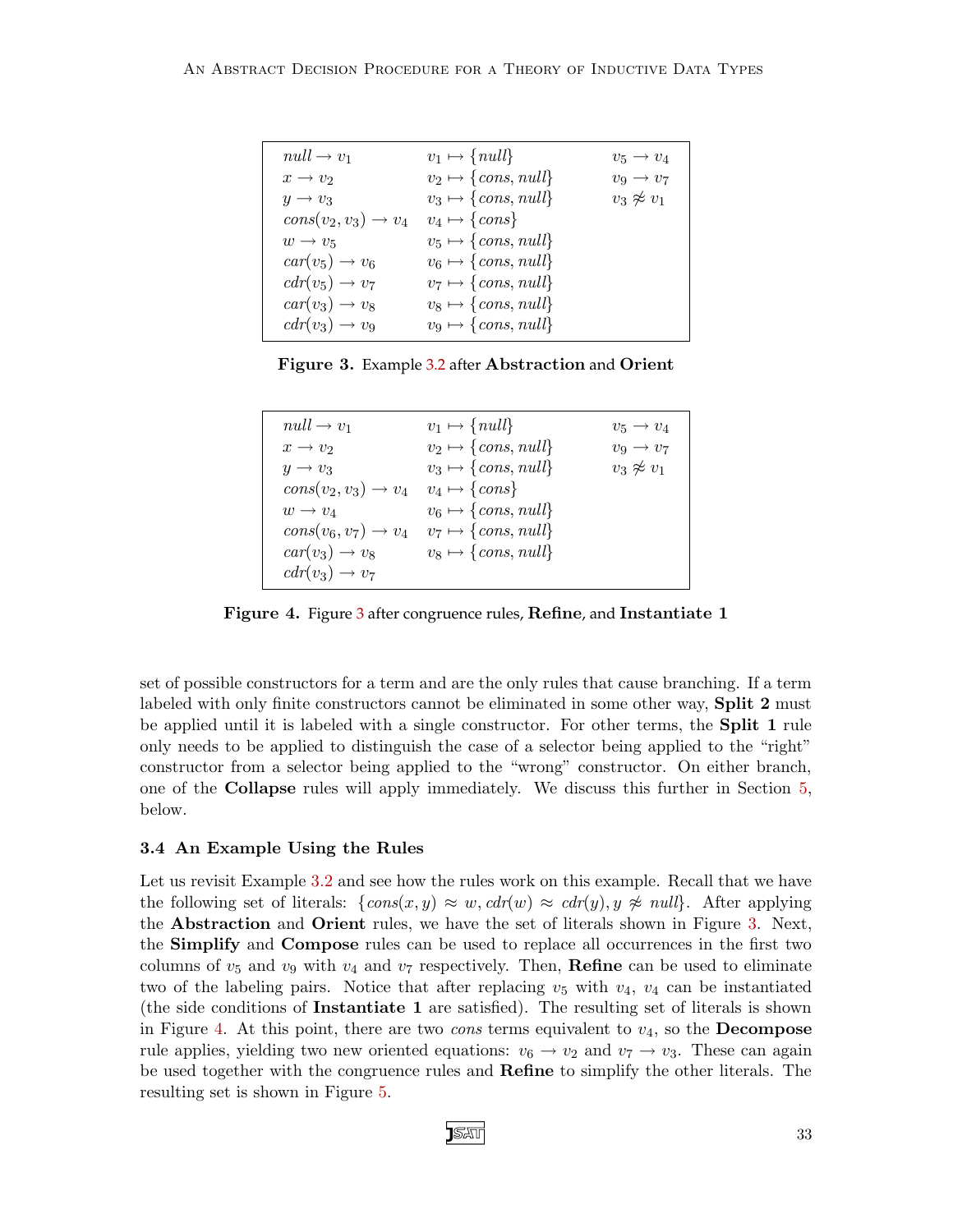| $null \rightarrow v_1$           | $v_1 \mapsto \{null\}$       | $v_5 \rightarrow v_4$ |
|----------------------------------|------------------------------|-----------------------|
| $x \rightarrow v_2$              | $v_2 \mapsto \{cons, null\}$ | $v_9 \rightarrow v_7$ |
| $y \rightarrow v_3$              | $v_3 \mapsto \{cons, null\}$ | $v_3 \not\approx v_1$ |
| $cons(v_2, v_3) \rightarrow v_4$ | $v_4 \mapsto \{cons\}$       |                       |
| $w \rightarrow v_5$              | $v_5 \mapsto \{cons, null\}$ |                       |
| $car(v_5) \rightarrow v_6$       | $v_6 \mapsto \{cons, null\}$ |                       |
| $cdr(v_5) \rightarrow v_7$       | $v_7 \mapsto \{cons, null\}$ |                       |
| $car(v_3) \rightarrow v_8$       | $v_8 \mapsto \{cons, null\}$ |                       |
| $cdr(v_3) \rightarrow v_9$       | $v_9 \mapsto \{cons, null\}$ |                       |

<span id="page-12-0"></span>Figure 3. Example [3.2](#page-6-3) after Abstraction and Orient

| $null \rightarrow v_1$           | $v_1 \mapsto \{null\}$       | $v_5 \rightarrow v_4$ |
|----------------------------------|------------------------------|-----------------------|
| $x \rightarrow v_2$              | $v_2 \mapsto \{cons, null\}$ | $v_9 \rightarrow v_7$ |
| $y \rightarrow v_3$              | $v_3 \mapsto \{cons, null\}$ | $v_3 \not\approx v_1$ |
| $cons(v_2, v_3) \rightarrow v_4$ | $v_4 \mapsto \{cons\}$       |                       |
| $w \rightarrow v_A$              | $v_6 \mapsto \{cons, null\}$ |                       |
| $cons(v_6, v_7) \rightarrow v_4$ | $v_7 \mapsto \{cons, null\}$ |                       |
| $car(v_3) \rightarrow v_8$       | $v_8 \mapsto \{cons, null\}$ |                       |
| $cdr(v_3) \rightarrow v_7$       |                              |                       |

<span id="page-12-1"></span>Figure 4. Figure [3](#page-12-0) after congruence rules, Refine, and Instantiate 1

set of possible constructors for a term and are the only rules that cause branching. If a term labeled with only finite constructors cannot be eliminated in some other way, **Split 2** must be applied until it is labeled with a single constructor. For other terms, the Split 1 rule only needs to be applied to distinguish the case of a selector being applied to the "right" constructor from a selector being applied to the "wrong" constructor. On either branch, one of the Collapse rules will apply immediately. We discuss this further in Section [5,](#page-20-0) below.

# 3.4 An Example Using the Rules

Let us revisit Example [3.2](#page-6-3) and see how the rules work on this example. Recall that we have the following set of literals:  $\{cons(x, y) \approx w, \text{cdr}(w) \approx \text{cdr}(y), y \not\approx \text{null}\}\)$ . After applying the Abstraction and Orient rules, we have the set of literals shown in Figure [3.](#page-12-0) Next, the Simplify and Compose rules can be used to replace all occurrences in the first two columns of  $v_5$  and  $v_9$  with  $v_4$  and  $v_7$  respectively. Then, **Refine** can be used to eliminate two of the labeling pairs. Notice that after replacing  $v_5$  with  $v_4$ ,  $v_4$  can be instantiated (the side conditions of Instantiate 1 are satisfied). The resulting set of literals is shown in Figure [4.](#page-12-1) At this point, there are two cons terms equivalent to  $v_4$ , so the **Decompose** rule applies, yielding two new oriented equations:  $v_6 \rightarrow v_2$  and  $v_7 \rightarrow v_3$ . These can again be used together with the congruence rules and **Refine** to simplify the other literals. The resulting set is shown in Figure [5.](#page-13-1)

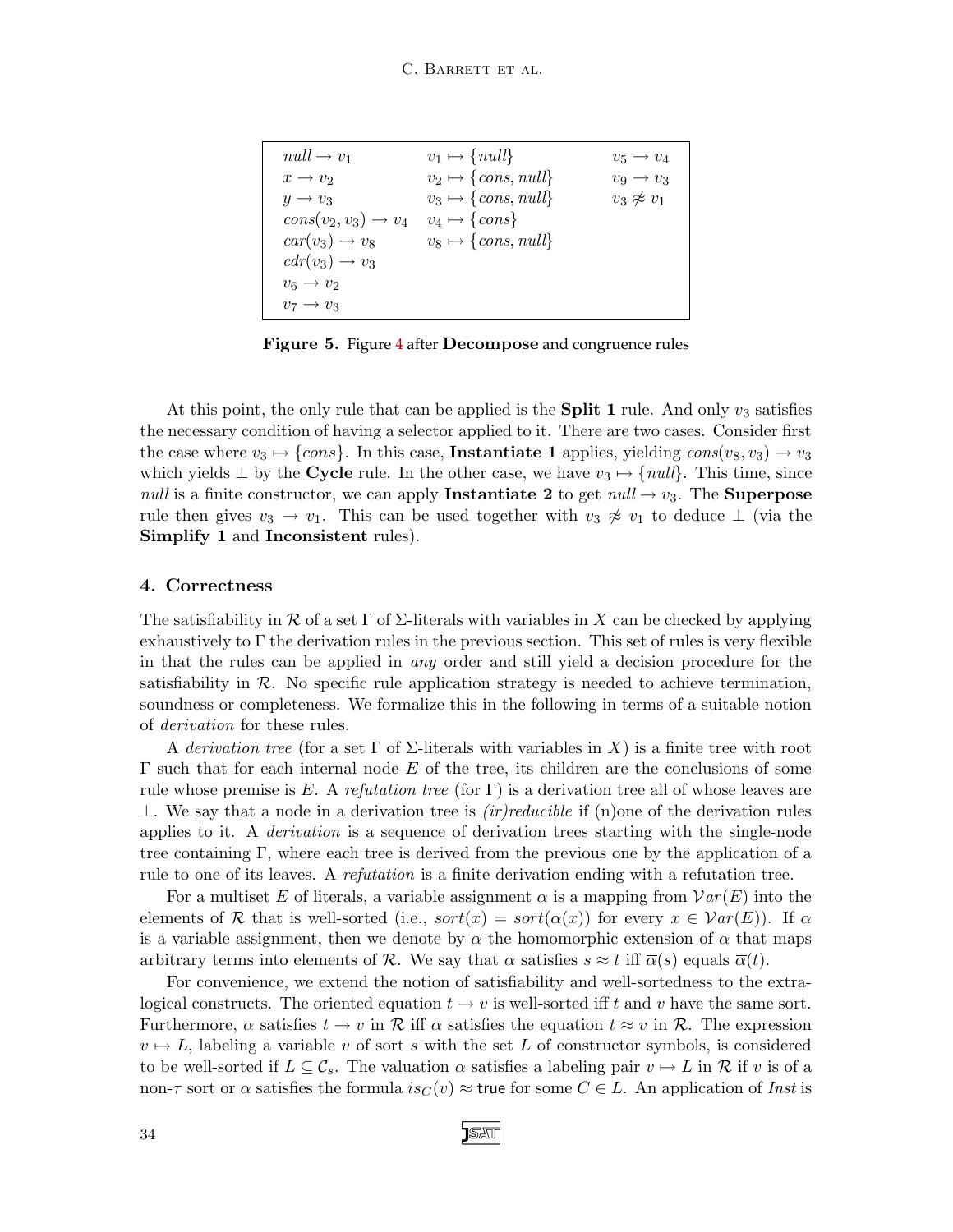| $null \rightarrow v_1$           | $v_1 \mapsto \{null\}$       | $v_5 \rightarrow v_4$ |
|----------------------------------|------------------------------|-----------------------|
| $x \rightarrow v_2$              | $v_2 \mapsto \{cons, null\}$ | $v_9 \rightarrow v_3$ |
| $y \rightarrow v_3$              | $v_3 \mapsto \{cons, null\}$ | $v_3 \not\approx v_1$ |
| $cons(v_2, v_3) \rightarrow v_4$ | $v_4 \mapsto \{cons\}$       |                       |
| $car(v_3) \rightarrow v_8$       | $v_8 \mapsto \{cons, null\}$ |                       |
| $cdr(v_3) \rightarrow v_3$       |                              |                       |
| $v_6 \rightarrow v_2$            |                              |                       |
| $v_7 \rightarrow v_3$            |                              |                       |
|                                  |                              |                       |

<span id="page-13-1"></span>Figure 5. Figure [4](#page-12-1) after Decompose and congruence rules

At this point, the only rule that can be applied is the **Split 1** rule. And only  $v_3$  satisfies the necessary condition of having a selector applied to it. There are two cases. Consider first the case where  $v_3 \mapsto \{cons\}$ . In this case, Instantiate 1 applies, yielding  $cons(v_8, v_3) \rightarrow v_3$ which yields  $\perp$  by the **Cycle** rule. In the other case, we have  $v_3 \mapsto \{null\}$ . This time, since null is a finite constructor, we can apply Instantiate 2 to get  $null \rightarrow v_3$ . The Superpose rule then gives  $v_3 \to v_1$ . This can be used together with  $v_3 \not\approx v_1$  to deduce  $\perp$  (via the Simplify 1 and Inconsistent rules).

#### <span id="page-13-0"></span>4. Correctness

The satisfiability in R of a set  $\Gamma$  of  $\Sigma$ -literals with variables in X can be checked by applying exhaustively to  $\Gamma$  the derivation rules in the previous section. This set of rules is very flexible in that the rules can be applied in any order and still yield a decision procedure for the satisfiability in  $\mathcal{R}$ . No specific rule application strategy is needed to achieve termination, soundness or completeness. We formalize this in the following in terms of a suitable notion of derivation for these rules.

A derivation tree (for a set  $\Gamma$  of  $\Sigma$ -literals with variables in X) is a finite tree with root  $\Gamma$  such that for each internal node E of the tree, its children are the conclusions of some rule whose premise is E. A refutation tree (for  $\Gamma$ ) is a derivation tree all of whose leaves are ⊥. We say that a node in a derivation tree is *(ir)reducible* if (n)one of the derivation rules applies to it. A *derivation* is a sequence of derivation trees starting with the single-node tree containing Γ, where each tree is derived from the previous one by the application of a rule to one of its leaves. A *refutation* is a finite derivation ending with a refutation tree.

For a multiset E of literals, a variable assignment  $\alpha$  is a mapping from  $\mathcal{V}ar(E)$  into the elements of R that is well-sorted (i.e.,  $sort(x) = sort(\alpha(x))$  for every  $x \in Var(E)$ ). If  $\alpha$ is a variable assignment, then we denote by  $\bar{\alpha}$  the homomorphic extension of  $\alpha$  that maps arbitrary terms into elements of R. We say that  $\alpha$  satisfies  $s \approx t$  iff  $\overline{\alpha}(s)$  equals  $\overline{\alpha}(t)$ .

For convenience, we extend the notion of satisfiability and well-sortedness to the extralogical constructs. The oriented equation  $t \to v$  is well-sorted iff t and v have the same sort. Furthermore,  $\alpha$  satisfies  $t \to v$  in  $\mathcal R$  iff  $\alpha$  satisfies the equation  $t \approx v$  in  $\mathcal R$ . The expression  $v \mapsto L$ , labeling a variable v of sort s with the set L of constructor symbols, is considered to be well-sorted if  $L \subseteq \mathcal{C}_s$ . The valuation  $\alpha$  satisfies a labeling pair  $v \mapsto L$  in R if v is of a non- $\tau$  sort or  $\alpha$  satisfies the formula  $is_C(v) \approx$  true for some  $C \in L$ . An application of Inst is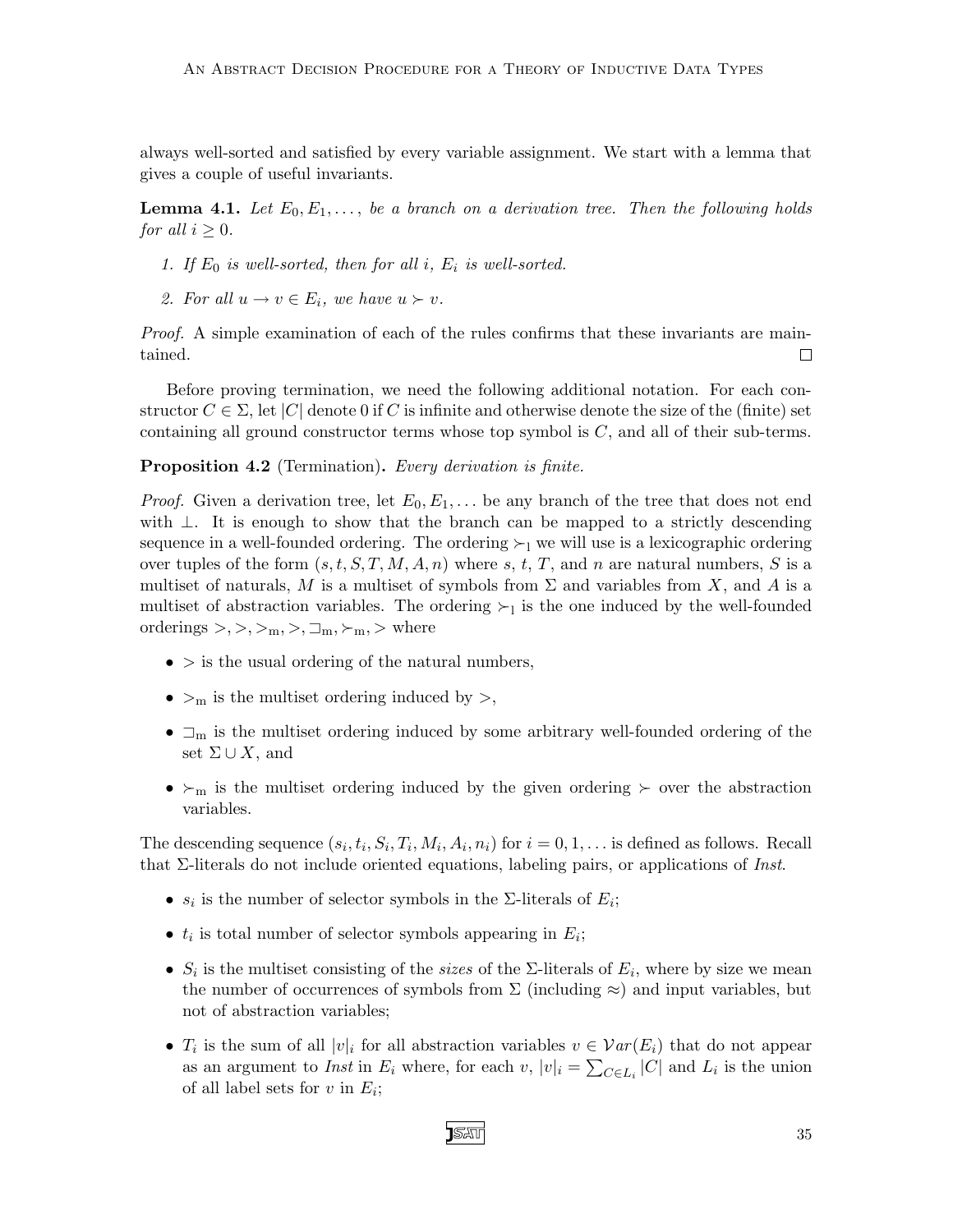<span id="page-14-0"></span>always well-sorted and satisfied by every variable assignment. We start with a lemma that gives a couple of useful invariants.

<span id="page-14-2"></span><span id="page-14-1"></span>**Lemma 4.1.** Let  $E_0, E_1, \ldots$ , be a branch on a derivation tree. Then the following holds for all  $i \geq 0$ .

- 1. If  $E_0$  is well-sorted, then for all i,  $E_i$  is well-sorted.
- 2. For all  $u \to v \in E_i$ , we have  $u \succ v$ .

Proof. A simple examination of each of the rules confirms that these invariants are maintained.  $\Box$ 

Before proving termination, we need the following additional notation. For each constructor  $C \in \Sigma$ , let  $|C|$  denote 0 if C is infinite and otherwise denote the size of the (finite) set containing all ground constructor terms whose top symbol is  $C$ , and all of their sub-terms.

<span id="page-14-3"></span>**Proposition 4.2** (Termination). Every derivation is finite.

*Proof.* Given a derivation tree, let  $E_0, E_1, \ldots$  be any branch of the tree that does not end with  $\perp$ . It is enough to show that the branch can be mapped to a strictly descending sequence in a well-founded ordering. The ordering  $\succ_1$  we will use is a lexicographic ordering over tuples of the form  $(s, t, S, T, M, A, n)$  where s, t, T, and n are natural numbers, S is a multiset of naturals, M is a multiset of symbols from  $\Sigma$  and variables from X, and A is a multiset of abstraction variables. The ordering  $\succ_l$  is the one induced by the well-founded orderings  $>, \,>, \,>_{m}, \,>_{m}, \,>_{m}, \,>$  where

- $\bullet$  > is the usual ordering of the natural numbers,
- $>_{\text{m}}$  is the multiset ordering induced by  $>$ ,
- $\Box_m$  is the multiset ordering induced by some arbitrary well-founded ordering of the set  $\Sigma \cup X$ , and
- $m \geq m$  is the multiset ordering induced by the given ordering  $\geq$  over the abstraction variables.

The descending sequence  $(s_i, t_i, S_i, T_i, M_i, A_i, n_i)$  for  $i = 0, 1, \ldots$  is defined as follows. Recall that  $\Sigma$ -literals do not include oriented equations, labeling pairs, or applications of Inst.

- $s_i$  is the number of selector symbols in the  $\Sigma$ -literals of  $E_i$ ;
- $t_i$  is total number of selector symbols appearing in  $E_i$ ;
- $S_i$  is the multiset consisting of the *sizes* of the  $\Sigma$ -literals of  $E_i$ , where by size we mean the number of occurrences of symbols from  $\Sigma$  (including  $\approx$ ) and input variables, but not of abstraction variables;
- $T_i$  is the sum of all  $|v|_i$  for all abstraction variables  $v \in Var(E_i)$  that do not appear as an argument to *Inst* in  $E_i$  where, for each v,  $|v|_i = \sum_{C \in L_i} |C|$  and  $L_i$  is the union of all label sets for  $v$  in  $E_i$ ;

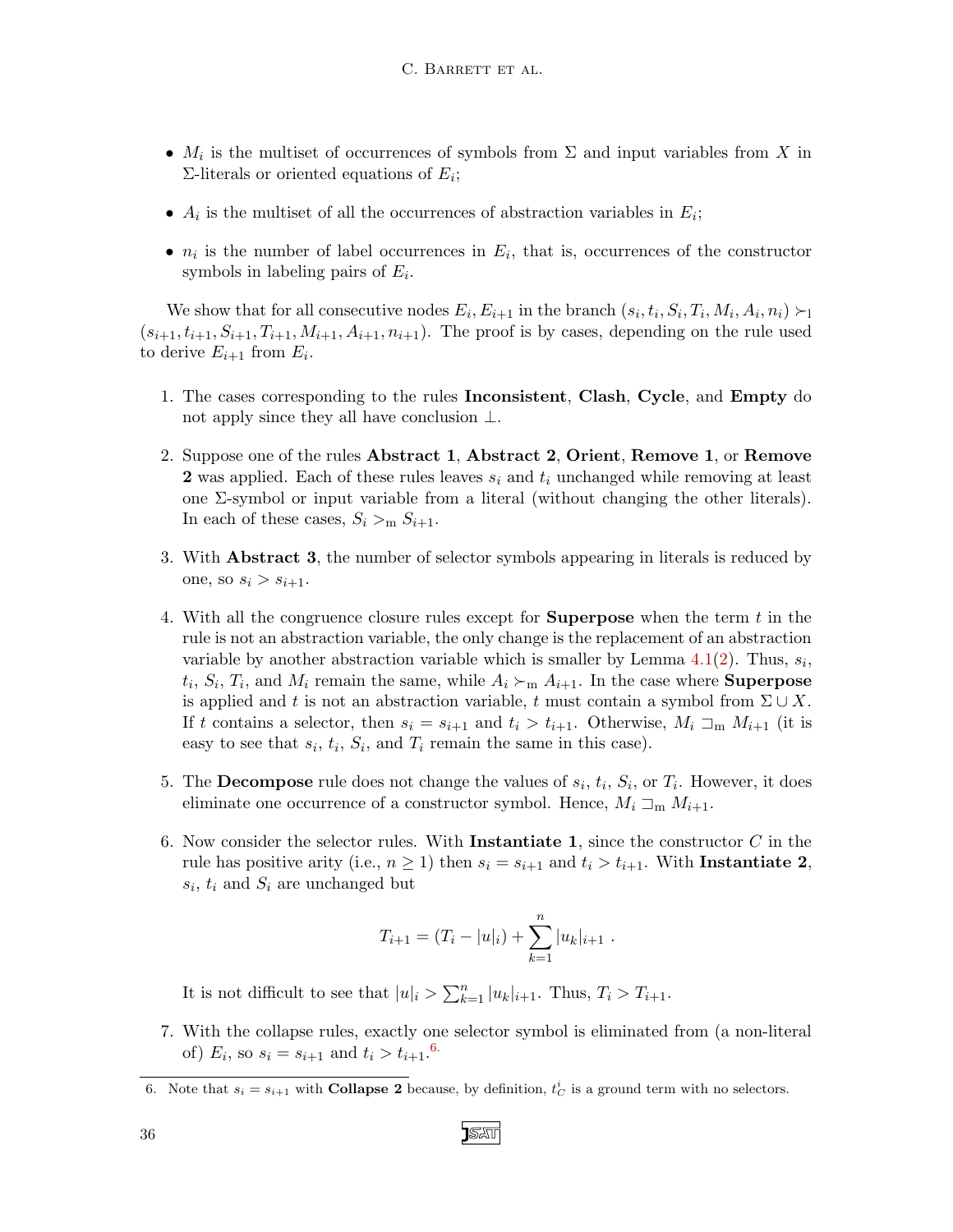- $M_i$  is the multiset of occurrences of symbols from  $\Sigma$  and input variables from X in  $\Sigma$ -literals or oriented equations of  $E_i$ ;
- $A_i$  is the multiset of all the occurrences of abstraction variables in  $E_i$ ;
- $n_i$  is the number of label occurrences in  $E_i$ , that is, occurrences of the constructor symbols in labeling pairs of  $E_i$ .

We show that for all consecutive nodes  $E_i, E_{i+1}$  in the branch  $(s_i, t_i, S_i, T_i, M_i, A_i, n_i) \succ_{\text{I}}$  $(s_{i+1}, t_{i+1}, S_{i+1}, T_{i+1}, M_{i+1}, A_{i+1}, n_{i+1})$ . The proof is by cases, depending on the rule used to derive  $E_{i+1}$  from  $E_i$ .

- 1. The cases corresponding to the rules Inconsistent, Clash, Cycle, and Empty do not apply since they all have conclusion ⊥.
- 2. Suppose one of the rules Abstract 1, Abstract 2, Orient, Remove 1, or Remove **2** was applied. Each of these rules leaves  $s_i$  and  $t_i$  unchanged while removing at least one Σ-symbol or input variable from a literal (without changing the other literals). In each of these cases,  $S_i >_{m} S_{i+1}$ .
- 3. With Abstract 3, the number of selector symbols appearing in literals is reduced by one, so  $s_i > s_{i+1}$ .
- 4. With all the congruence closure rules except for Superpose when the term t in the rule is not an abstraction variable, the only change is the replacement of an abstraction variable by another abstraction variable which is smaller by Lemma [4.1](#page-14-0)[\(2\)](#page-14-1). Thus,  $s_i$ ,  $t_i$ ,  $S_i$ ,  $T_i$ , and  $M_i$  remain the same, while  $A_i \succ_m A_{i+1}$ . In the case where **Superpose** is applied and t is not an abstraction variable, t must contain a symbol from  $\Sigma \cup X$ . If t contains a selector, then  $s_i = s_{i+1}$  and  $t_i > t_{i+1}$ . Otherwise,  $M_i \sqsupset_m M_{i+1}$  (it is easy to see that  $s_i$ ,  $t_i$ ,  $S_i$ , and  $T_i$  remain the same in this case).
- 5. The **Decompose** rule does not change the values of  $s_i$ ,  $t_i$ ,  $S_i$ , or  $T_i$ . However, it does eliminate one occurrence of a constructor symbol. Hence,  $M_i \sqsupseteq_m M_{i+1}$ .
- 6. Now consider the selector rules. With **Instantiate 1**, since the constructor  $C$  in the rule has positive arity (i.e.,  $n \ge 1$ ) then  $s_i = s_{i+1}$  and  $t_i > t_{i+1}$ . With **Instantiate 2**,  $s_i$ ,  $t_i$  and  $S_i$  are unchanged but

$$
T_{i+1} = (T_i - |u|_i) + \sum_{k=1}^n |u_k|_{i+1} .
$$

It is not difficult to see that  $|u|_i > \sum_{k=1}^n |u_k|_{i+1}$ . Thus,  $T_i > T_{i+1}$ .

7. With the collapse rules, exactly one selector symbol is eliminated from (a non-literal of)  $E_i$ , so  $s_i = s_{i+1}$  and  $t_i > t_{i+1}$ .<sup>[6.](#page-15-0)</sup>

<span id="page-15-0"></span><sup>6.</sup> Note that  $s_i = s_{i+1}$  with **Collapse 2** because, by definition,  $t_C^i$  is a ground term with no selectors.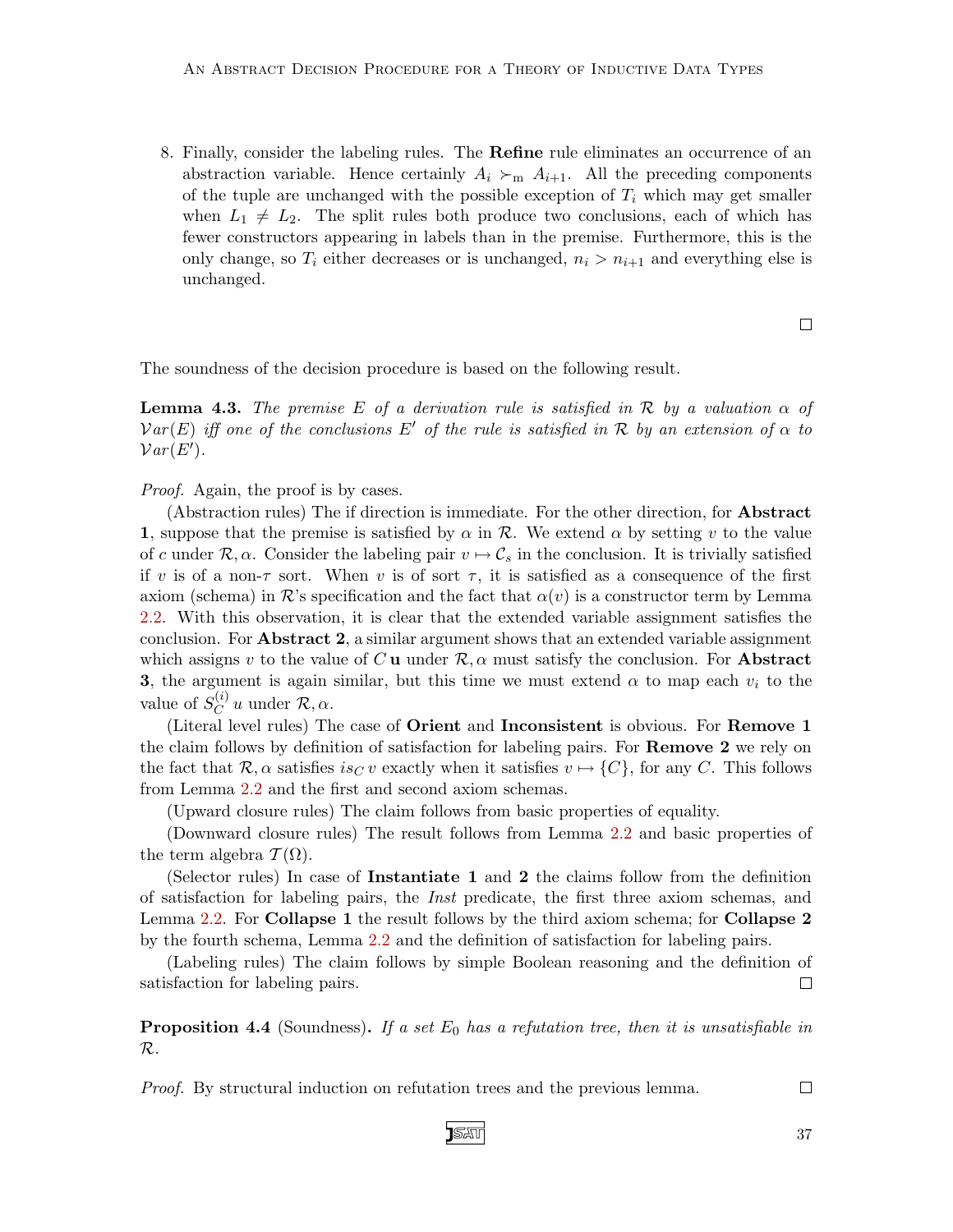8. Finally, consider the labeling rules. The Refine rule eliminates an occurrence of an abstraction variable. Hence certainly  $A_i \succ_m A_{i+1}$ . All the preceding components of the tuple are unchanged with the possible exception of  $T_i$  which may get smaller when  $L_1 \neq L_2$ . The split rules both produce two conclusions, each of which has fewer constructors appearing in labels than in the premise. Furthermore, this is the only change, so  $T_i$  either decreases or is unchanged,  $n_i > n_{i+1}$  and everything else is unchanged.

<span id="page-16-0"></span>The soundness of the decision procedure is based on the following result.

**Lemma 4.3.** The premise E of a derivation rule is satisfied in R by a valuation  $\alpha$  of  $Var(E)$  iff one of the conclusions E' of the rule is satisfied in R by an extension of  $\alpha$  to  $Var(E^{\prime}).$ 

*Proof.* Again, the proof is by cases.

(Abstraction rules) The if direction is immediate. For the other direction, for Abstract 1, suppose that the premise is satisfied by  $\alpha$  in  $\mathcal{R}$ . We extend  $\alpha$  by setting v to the value of c under  $\mathcal{R}, \alpha$ . Consider the labeling pair  $v \mapsto \mathcal{C}_s$  in the conclusion. It is trivially satisfied if v is of a non- $\tau$  sort. When v is of sort  $\tau$ , it is satisfied as a consequence of the first axiom (schema) in R's specification and the fact that  $\alpha(v)$  is a constructor term by Lemma [2.2.](#page-5-3) With this observation, it is clear that the extended variable assignment satisfies the conclusion. For Abstract 2, a similar argument shows that an extended variable assignment which assigns v to the value of C u under  $\mathcal{R}, \alpha$  must satisfy the conclusion. For **Abstract** 3, the argument is again similar, but this time we must extend  $\alpha$  to map each  $v_i$  to the value of  $S_C^{(i)}$  $C^{(i)}$  u under  $\mathcal{R}, \alpha$ .

(Literal level rules) The case of Orient and Inconsistent is obvious. For Remove 1 the claim follows by definition of satisfaction for labeling pairs. For Remove 2 we rely on the fact that  $\mathcal{R}, \alpha$  satisfies  $is_{C} v$  exactly when it satisfies  $v \mapsto \{C\}$ , for any C. This follows from Lemma [2.2](#page-5-3) and the first and second axiom schemas.

(Upward closure rules) The claim follows from basic properties of equality.

(Downward closure rules) The result follows from Lemma [2.2](#page-5-3) and basic properties of the term algebra  $\mathcal{T}(\Omega)$ .

(Selector rules) In case of Instantiate 1 and 2 the claims follow from the definition of satisfaction for labeling pairs, the Inst predicate, the first three axiom schemas, and Lemma [2.2.](#page-5-3) For Collapse 1 the result follows by the third axiom schema; for Collapse 2 by the fourth schema, Lemma [2.2](#page-5-3) and the definition of satisfaction for labeling pairs.

(Labeling rules) The claim follows by simple Boolean reasoning and the definition of  $\Box$ satisfaction for labeling pairs.

**Proposition 4.4** (Soundness). If a set  $E_0$  has a refutation tree, then it is unsatisfiable in R.

Proof. By structural induction on refutation trees and the previous lemma.

]SAT

 $\Box$ 

 $\Box$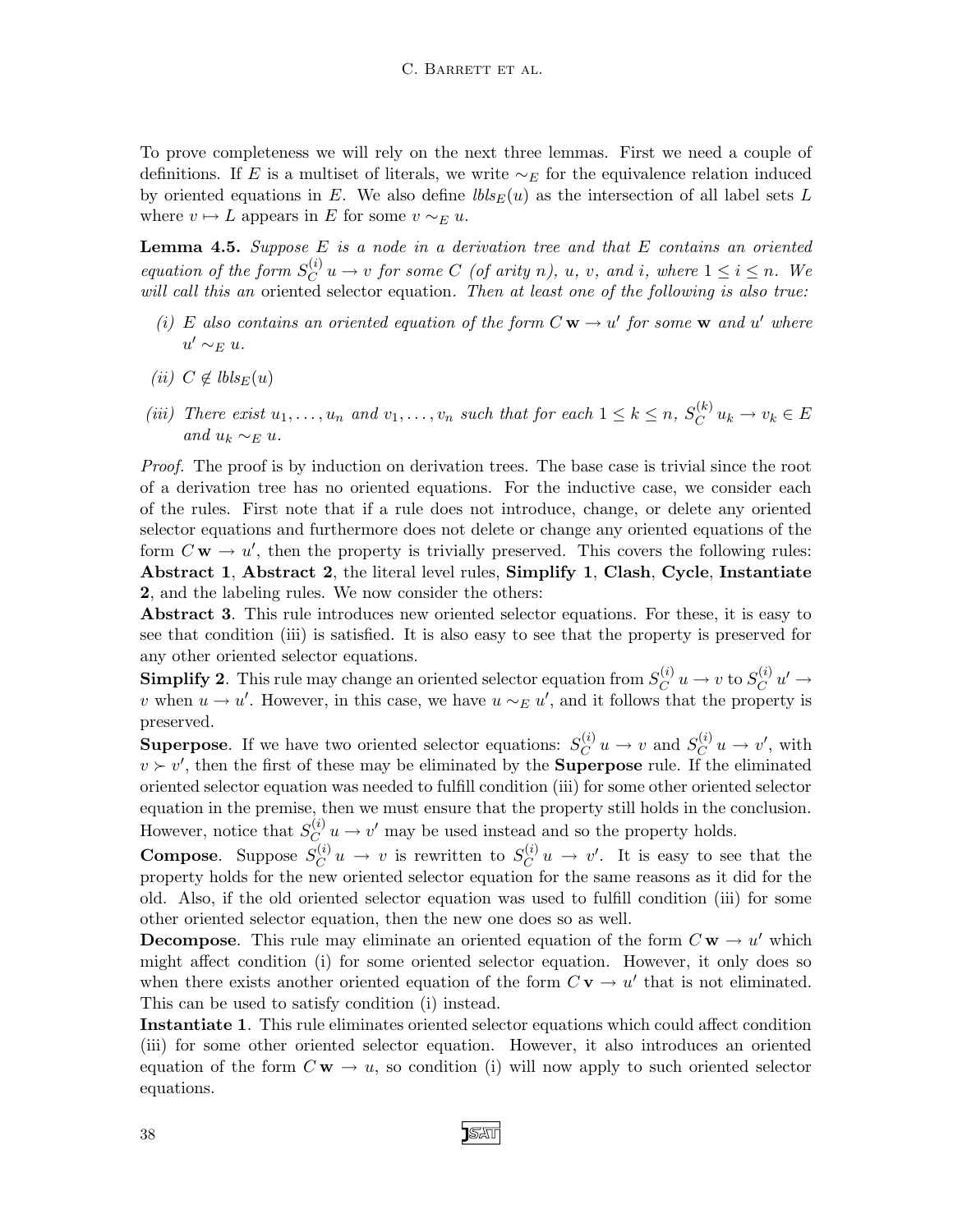To prove completeness we will rely on the next three lemmas. First we need a couple of definitions. If E is a multiset of literals, we write  $\sim_E$  for the equivalence relation induced by oriented equations in E. We also define  $lbls<sub>E</sub>(u)$  as the intersection of all label sets L where  $v \mapsto L$  appears in E for some  $v \sim_E u$ .

<span id="page-17-0"></span>**Lemma 4.5.** Suppose  $E$  is a node in a derivation tree and that  $E$  contains an oriented equation of the form  $S_C^{(i)}$  $C^{(i)}_C u \to v$  for some  $C$  (of arity n), u, v, and i, where  $1 \leq i \leq n$ . We will call this an oriented selector equation. Then at least one of the following is also true:

- (i) E also contains an oriented equation of the form  $C \mathbf{w} \to u'$  for some w and u' where  $u' \sim_E u$ .
- (ii)  $C \notin lbs_E(u)$
- (iii) There exist  $u_1, \ldots, u_n$  and  $v_1, \ldots, v_n$  such that for each  $1 \leq k \leq n$ ,  $S_C^{(k)}$  $C^{(k)}$   $u_k \to v_k \in E$ and  $u_k \sim_E u$ .

Proof. The proof is by induction on derivation trees. The base case is trivial since the root of a derivation tree has no oriented equations. For the inductive case, we consider each of the rules. First note that if a rule does not introduce, change, or delete any oriented selector equations and furthermore does not delete or change any oriented equations of the form  $C \mathbf{w} \to u'$ , then the property is trivially preserved. This covers the following rules: Abstract 1, Abstract 2, the literal level rules, Simplify 1, Clash, Cycle, Instantiate 2, and the labeling rules. We now consider the others:

Abstract 3. This rule introduces new oriented selector equations. For these, it is easy to see that condition (iii) is satisfied. It is also easy to see that the property is preserved for any other oriented selector equations.

**Simplify 2**. This rule may change an oriented selector equation from  $S_C^{(i)}$  $\stackrel{(i)}{C} u \to v$  to  $S_C^{(i)}$  $\stackrel{(i)}{C} u' \rightarrow$ v when  $u \to u'$ . However, in this case, we have  $u \sim_E u'$ , and it follows that the property is preserved.

**Superpose.** If we have two oriented selector equations:  $S_C^{(i)}$  $C^{(i)}$   $u \rightarrow v$  and  $S_C^{(i)}$  $C^{(i)} u \to v'$ , with  $v \succ v'$ , then the first of these may be eliminated by the **Superpose** rule. If the eliminated oriented selector equation was needed to fulfill condition (iii) for some other oriented selector equation in the premise, then we must ensure that the property still holds in the conclusion. However, notice that  $S_C^{(i)}$  $\mathcal{C}_{\mathcal{C}}^{(i)} u \to v'$  may be used instead and so the property holds.

**Compose.** Suppose  $S_C^{(i)}$  $C^{(i)}$   $u \rightarrow v$  is rewritten to  $S_C^{(i)}$  $C^{(i)}$   $u \rightarrow v'$ . It is easy to see that the property holds for the new oriented selector equation for the same reasons as it did for the old. Also, if the old oriented selector equation was used to fulfill condition (iii) for some other oriented selector equation, then the new one does so as well.

**Decompose.** This rule may eliminate an oriented equation of the form  $C \mathbf{w} \to u'$  which might affect condition (i) for some oriented selector equation. However, it only does so when there exists another oriented equation of the form  $C \mathbf{v} \to u'$  that is not eliminated. This can be used to satisfy condition (i) instead.

Instantiate 1. This rule eliminates oriented selector equations which could affect condition (iii) for some other oriented selector equation. However, it also introduces an oriented equation of the form  $C \mathbf{w} \to u$ , so condition (i) will now apply to such oriented selector equations.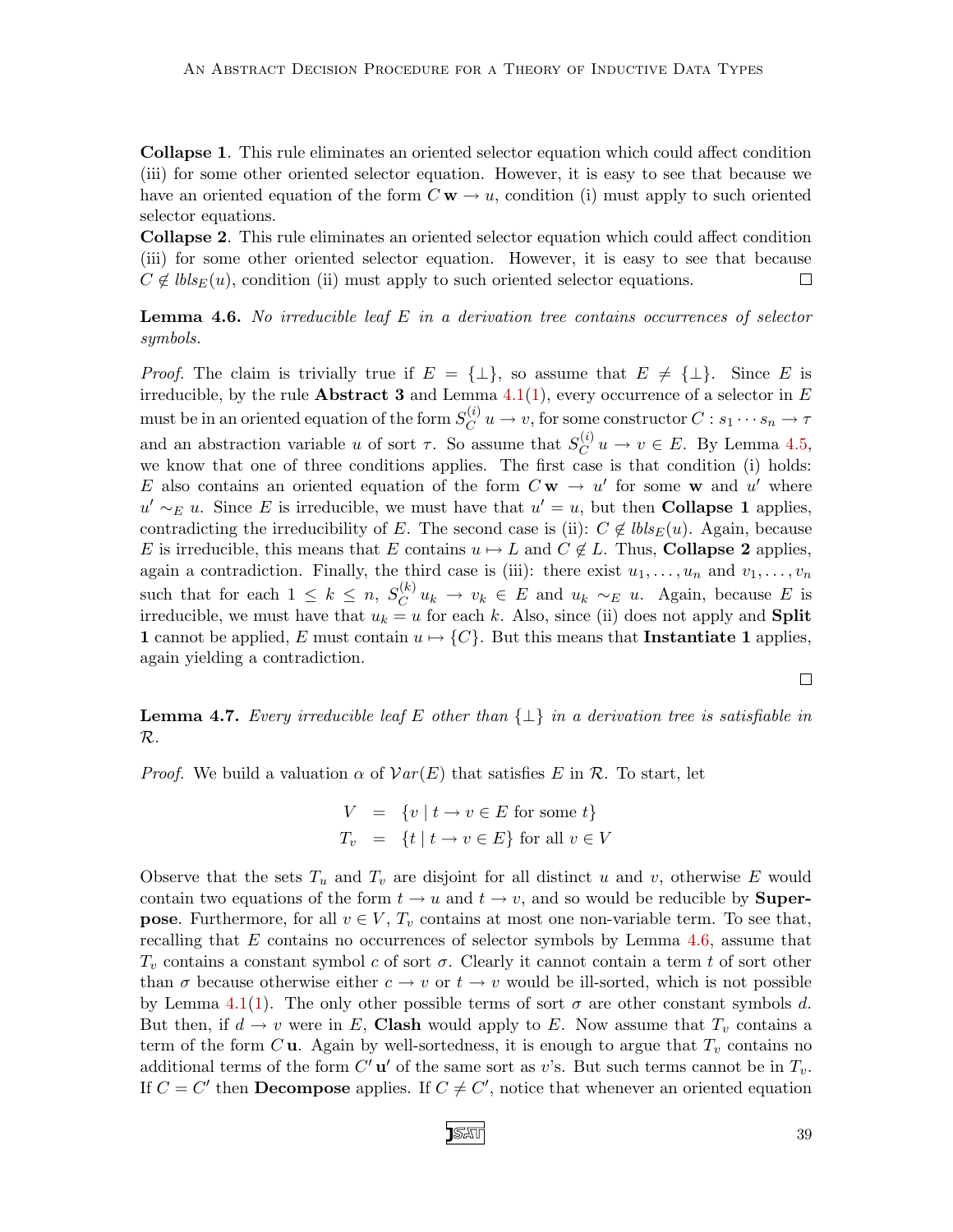Collapse 1. This rule eliminates an oriented selector equation which could affect condition (iii) for some other oriented selector equation. However, it is easy to see that because we have an oriented equation of the form  $C \mathbf{w} \to u$ , condition (i) must apply to such oriented selector equations.

Collapse 2. This rule eliminates an oriented selector equation which could affect condition (iii) for some other oriented selector equation. However, it is easy to see that because  $C \notin \text{bls}_E(u)$ , condition (ii) must apply to such oriented selector equations.  $\Box$ 

<span id="page-18-0"></span>**Lemma 4.6.** No irreducible leaf  $E$  in a derivation tree contains occurrences of selector symbols.

*Proof.* The claim is trivially true if  $E = {\perp}$ , so assume that  $E \neq {\perp}$ . Since E is irreducible, by the rule **Abstract 3** and Lemma [4.1\(](#page-14-0)[1\)](#page-14-2), every occurrence of a selector in  $E$ must be in an oriented equation of the form  $S_C^{(i)}$  $C^{(i)}$   $u \to v$ , for some constructor  $C : s_1 \cdots s_n \to \tau$ and an abstraction variable u of sort  $\tau$ . So assume that  $S_C^{(i)}$  $C^{(i)}$   $u \to v \in E$ . By Lemma [4.5,](#page-17-0) we know that one of three conditions applies. The first case is that condition (i) holds: E also contains an oriented equation of the form  $C \mathbf{w} \to u'$  for some w and u' where  $u' \sim_E u$ . Since E is irreducible, we must have that  $u' = u$ , but then **Collapse 1** applies, contradicting the irreducibility of E. The second case is (ii):  $C \notin \text{bls}_E(u)$ . Again, because E is irreducible, this means that E contains  $u \mapsto L$  and  $C \notin L$ . Thus, **Collapse 2** applies, again a contradiction. Finally, the third case is (iii): there exist  $u_1, \ldots, u_n$  and  $v_1, \ldots, v_n$ such that for each  $1 \leq k \leq n$ ,  $S_C^{(k)}$  $C^{(k)} u_k \to v_k \in E$  and  $u_k \sim_E u$ . Again, because E is irreducible, we must have that  $u_k = u$  for each k. Also, since (ii) does not apply and **Split** 1 cannot be applied, E must contain  $u \mapsto \{C\}$ . But this means that Instantiate 1 applies, again yielding a contradiction.

<span id="page-18-1"></span>**Lemma 4.7.** Every irreducible leaf E other than  $\{\perp\}$  in a derivation tree is satisfiable in R.

*Proof.* We build a valuation  $\alpha$  of  $Var(E)$  that satisfies E in R. To start, let

$$
V = \{v \mid t \to v \in E \text{ for some } t\}
$$
  

$$
T_v = \{t \mid t \to v \in E\} \text{ for all } v \in V
$$

Observe that the sets  $T_u$  and  $T_v$  are disjoint for all distinct u and v, otherwise E would contain two equations of the form  $t \to u$  and  $t \to v$ , and so would be reducible by **Superpose.** Furthermore, for all  $v \in V$ ,  $T_v$  contains at most one non-variable term. To see that, recalling that E contains no occurrences of selector symbols by Lemma [4.6,](#page-18-0) assume that  $T_v$  contains a constant symbol c of sort  $\sigma$ . Clearly it cannot contain a term t of sort other than  $\sigma$  because otherwise either  $c \to v$  or  $t \to v$  would be ill-sorted, which is not possible by Lemma [4.1](#page-14-0)[\(1\)](#page-14-2). The only other possible terms of sort  $\sigma$  are other constant symbols d. But then, if  $d \to v$  were in E, Clash would apply to E. Now assume that  $T_v$  contains a term of the form  $C$ **u**. Again by well-sortedness, it is enough to argue that  $T_v$  contains no additional terms of the form  $C'$  **u**' of the same sort as v's. But such terms cannot be in  $T_v$ . If  $C = C'$  then **Decompose** applies. If  $C \neq C'$ , notice that whenever an oriented equation

 $\Box$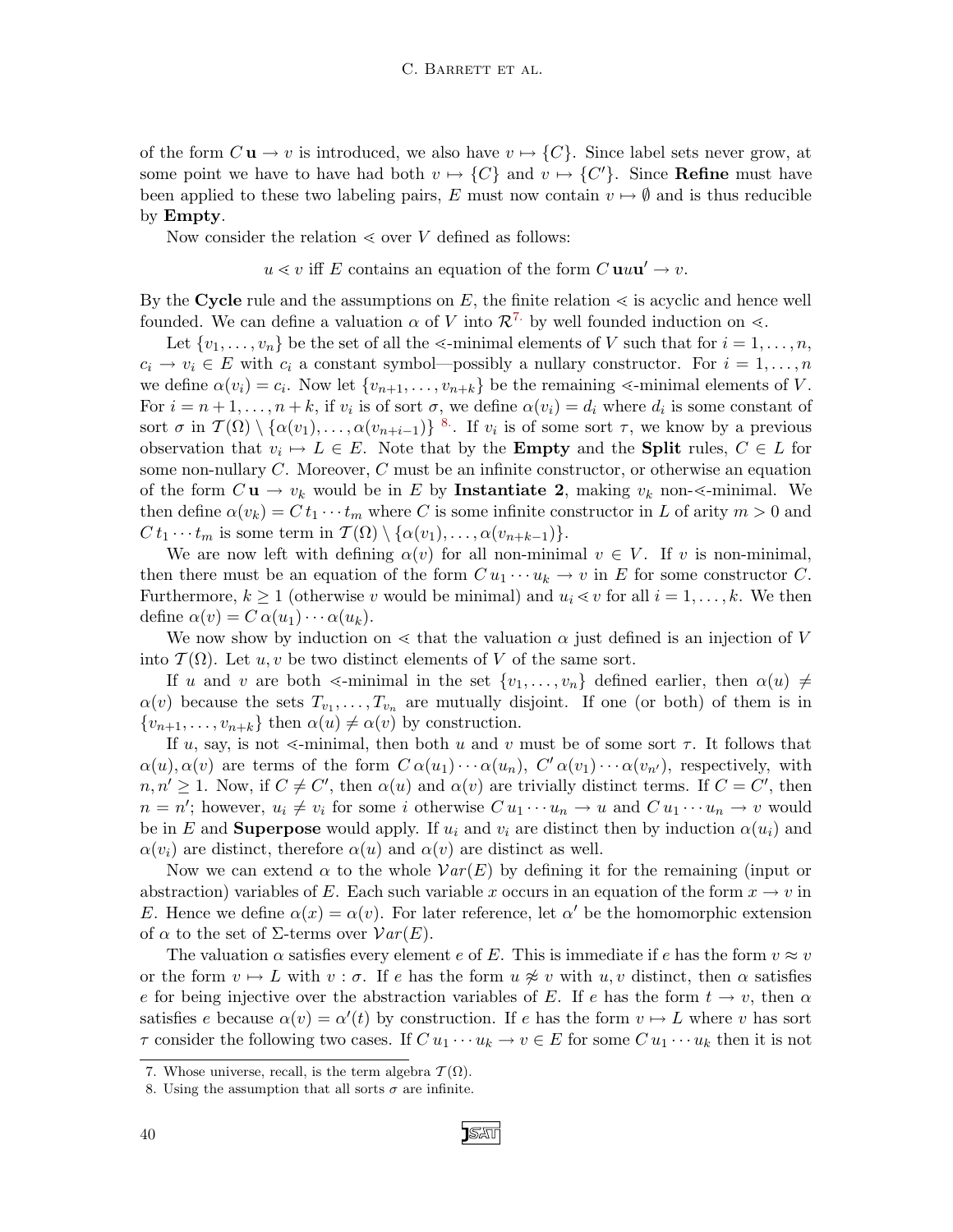of the form  $C \mathbf{u} \to v$  is introduced, we also have  $v \mapsto \{C\}$ . Since label sets never grow, at some point we have to have had both  $v \mapsto \{C\}$  and  $v \mapsto \{C'\}$ . Since **Refine** must have been applied to these two labeling pairs, E must now contain  $v \mapsto \emptyset$  and is thus reducible by Empty.

Now consider the relation  $\leq$  over V defined as follows:

 $u \ll v$  iff E contains an equation of the form  $C$  uuu'  $\rightarrow v$ .

By the Cycle rule and the assumptions on  $E$ , the finite relation  $\leq$  is acyclic and hence well founded. We can define a valuation  $\alpha$  of V into  $\mathcal{R}^{7}$  by well founded induction on  $\leq$ .

Let  $\{v_1, \ldots, v_n\}$  be the set of all the  $\le$ -minimal elements of V such that for  $i = 1, \ldots, n$ ,  $c_i \to v_i \in E$  with  $c_i$  a constant symbol—possibly a nullary constructor. For  $i = 1, ..., n$ we define  $\alpha(v_i) = c_i$ . Now let  $\{v_{n+1}, \ldots, v_{n+k}\}\)$  be the remaining  $\le$ -minimal elements of V. For  $i = n+1, \ldots, n+k$ , if  $v_i$  is of sort  $\sigma$ , we define  $\alpha(v_i) = d_i$  where  $d_i$  is some constant of sort  $\sigma$  in  $\mathcal{T}(\Omega) \setminus {\alpha(v_1), \ldots, \alpha(v_{n+i-1})}$ <sup>8</sup>. If  $v_i$  is of some sort  $\tau$ , we know by a previous observation that  $v_i \mapsto L \in E$ . Note that by the **Empty** and the **Split** rules,  $C \in L$  for some non-nullary  $C$ . Moreover,  $C$  must be an infinite constructor, or otherwise an equation of the form  $C\mathbf{u} \to v_k$  would be in E by Instantiate 2, making  $v_k$  non- $\leq$ -minimal. We then define  $\alpha(v_k) = C t_1 \cdots t_m$  where C is some infinite constructor in L of arity  $m > 0$  and  $C t_1 \cdots t_m$  is some term in  $\mathcal{T}(\Omega) \setminus {\alpha(v_1), \ldots, \alpha(v_{n+k-1})}.$ 

We are now left with defining  $\alpha(v)$  for all non-minimal  $v \in V$ . If v is non-minimal, then there must be an equation of the form  $Cu_1 \cdots u_k \to v$  in E for some constructor C. Furthermore,  $k \geq 1$  (otherwise v would be minimal) and  $u_i \ll v$  for all  $i = 1, \ldots, k$ . We then define  $\alpha(v) = C \alpha(u_1) \cdots \alpha(u_k)$ .

We now show by induction on  $\leq$  that the valuation  $\alpha$  just defined is an injection of V into  $\mathcal{T}(\Omega)$ . Let u, v be two distinct elements of V of the same sort.

If u and v are both  $\leq$ -minimal in the set  $\{v_1, \ldots, v_n\}$  defined earlier, then  $\alpha(u) \neq$  $\alpha(v)$  because the sets  $T_{v_1}, \ldots, T_{v_n}$  are mutually disjoint. If one (or both) of them is in  $\{v_{n+1}, \ldots, v_{n+k}\}\$  then  $\alpha(u) \neq \alpha(v)$  by construction.

If u, say, is not  $\le$ -minimal, then both u and v must be of some sort  $\tau$ . It follows that  $\alpha(u), \alpha(v)$  are terms of the form  $C \alpha(u_1) \cdots \alpha(u_n)$ ,  $C' \alpha(v_1) \cdots \alpha(v_{n'})$ , respectively, with  $n, n' \geq 1$ . Now, if  $C \neq C'$ , then  $\alpha(u)$  and  $\alpha(v)$  are trivially distinct terms. If  $C = C'$ , then  $n = n'$ ; however,  $u_i \neq v_i$  for some i otherwise  $Cu_1 \cdots u_n \to u$  and  $Cu_1 \cdots u_n \to v$  would be in E and **Superpose** would apply. If  $u_i$  and  $v_i$  are distinct then by induction  $\alpha(u_i)$  and  $\alpha(v_i)$  are distinct, therefore  $\alpha(u)$  and  $\alpha(v)$  are distinct as well.

Now we can extend  $\alpha$  to the whole  $Var(E)$  by defining it for the remaining (input or abstraction) variables of E. Each such variable x occurs in an equation of the form  $x \to v$  in E. Hence we define  $\alpha(x) = \alpha(v)$ . For later reference, let  $\alpha'$  be the homomorphic extension of  $\alpha$  to the set of  $\Sigma$ -terms over  $Var(E)$ .

The valuation  $\alpha$  satisfies every element e of E. This is immediate if e has the form  $v \approx v$ or the form  $v \mapsto L$  with  $v : \sigma$ . If e has the form  $u \not\approx v$  with  $u, v$  distinct, then  $\alpha$  satisfies e for being injective over the abstraction variables of E. If e has the form  $t \to v$ , then  $\alpha$ satisfies e because  $\alpha(v) = \alpha'(t)$  by construction. If e has the form  $v \mapsto L$  where v has sort  $\tau$  consider the following two cases. If  $C u_1 \cdots u_k \to v \in E$  for some  $C u_1 \cdots u_k$  then it is not

<span id="page-19-1"></span><span id="page-19-0"></span><sup>7.</sup> Whose universe, recall, is the term algebra  $\mathcal{T}(\Omega)$ .

<sup>8.</sup> Using the assumption that all sorts  $\sigma$  are infinite.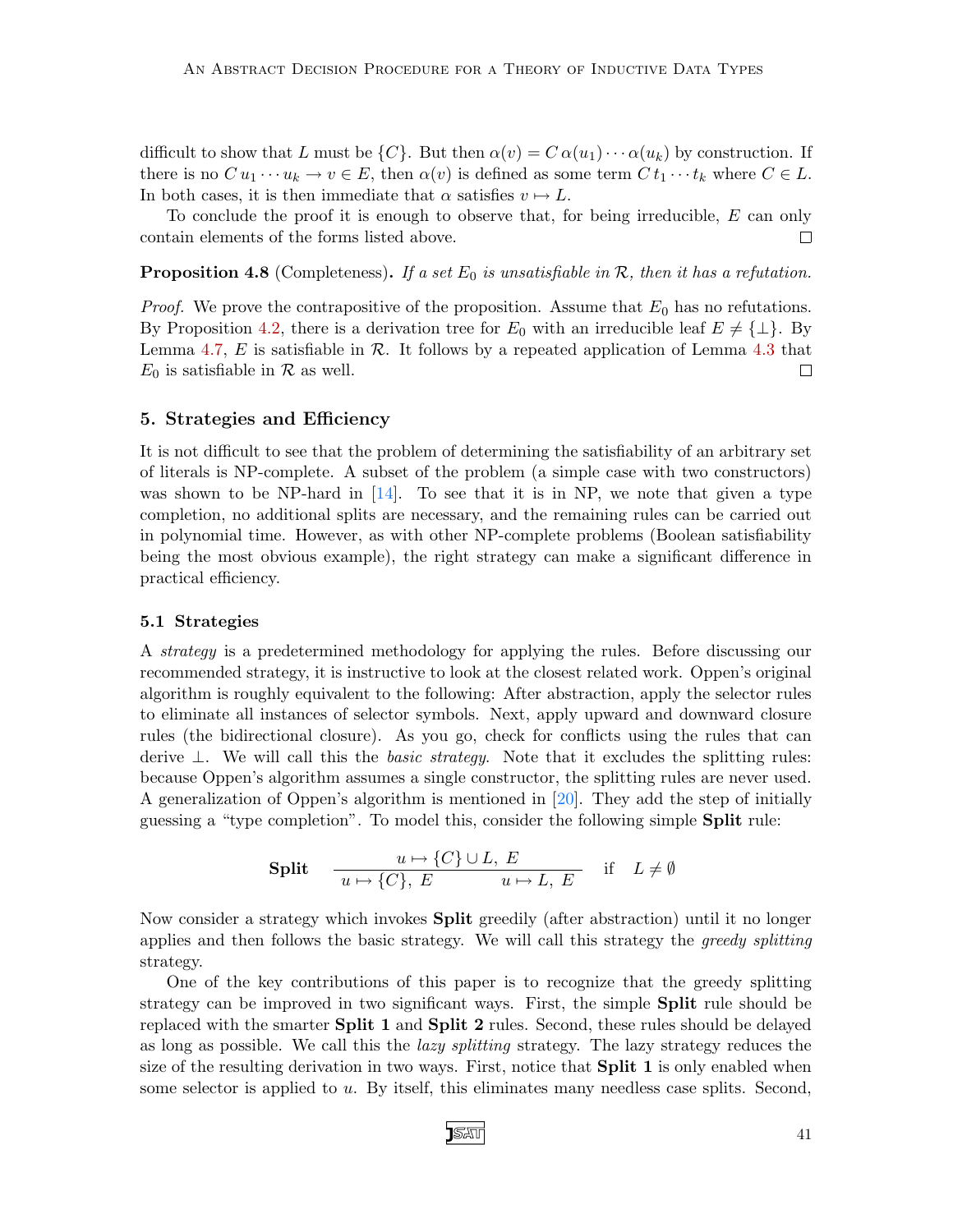difficult to show that L must be  $\{C\}$ . But then  $\alpha(v) = C \alpha(u_1) \cdots \alpha(u_k)$  by construction. If there is no  $Cu_1 \cdots u_k \to v \in E$ , then  $\alpha(v)$  is defined as some term  $C t_1 \cdots t_k$  where  $C \in L$ . In both cases, it is then immediate that  $\alpha$  satisfies  $v \mapsto L$ .

To conclude the proof it is enough to observe that, for being irreducible, E can only contain elements of the forms listed above.  $\Box$ 

**Proposition 4.8** (Completeness). If a set  $E_0$  is unsatisfiable in  $\mathcal{R}$ , then it has a refutation.

*Proof.* We prove the contrapositive of the proposition. Assume that  $E_0$  has no refutations. By Proposition [4.2,](#page-14-3) there is a derivation tree for  $E_0$  with an irreducible leaf  $E \neq {\perp}$ . By Lemma [4.7,](#page-18-1)  $E$  is satisfiable in  $R$ . It follows by a repeated application of Lemma [4.3](#page-16-0) that  $E_0$  is satisfiable in  $\mathcal R$  as well.  $\Box$ 

# <span id="page-20-0"></span>5. Strategies and Efficiency

It is not difficult to see that the problem of determining the satisfiability of an arbitrary set of literals is NP-complete. A subset of the problem (a simple case with two constructors) was shown to be NP-hard in  $[14]$ . To see that it is in NP, we note that given a type completion, no additional splits are necessary, and the remaining rules can be carried out in polynomial time. However, as with other NP-complete problems (Boolean satisfiability being the most obvious example), the right strategy can make a significant difference in practical efficiency.

#### 5.1 Strategies

A *strategy* is a predetermined methodology for applying the rules. Before discussing our recommended strategy, it is instructive to look at the closest related work. Oppen's original algorithm is roughly equivalent to the following: After abstraction, apply the selector rules to eliminate all instances of selector symbols. Next, apply upward and downward closure rules (the bidirectional closure). As you go, check for conflicts using the rules that can derive  $\perp$ . We will call this the basic strategy. Note that it excludes the splitting rules: because Oppen's algorithm assumes a single constructor, the splitting rules are never used. A generalization of Oppen's algorithm is mentioned in [\[20\]](#page-25-2). They add the step of initially guessing a "type completion". To model this, consider the following simple Split rule:

$$
\text{Split} \quad \frac{u \mapsto \{C\} \cup L, \ E}{u \mapsto \{C\}, \ E} \quad \text{if} \quad L \neq \emptyset
$$

Now consider a strategy which invokes Split greedily (after abstraction) until it no longer applies and then follows the basic strategy. We will call this strategy the *greedy splitting* strategy.

One of the key contributions of this paper is to recognize that the greedy splitting strategy can be improved in two significant ways. First, the simple Split rule should be replaced with the smarter Split 1 and Split 2 rules. Second, these rules should be delayed as long as possible. We call this the lazy splitting strategy. The lazy strategy reduces the size of the resulting derivation in two ways. First, notice that **Split 1** is only enabled when some selector is applied to u. By itself, this eliminates many needless case splits. Second,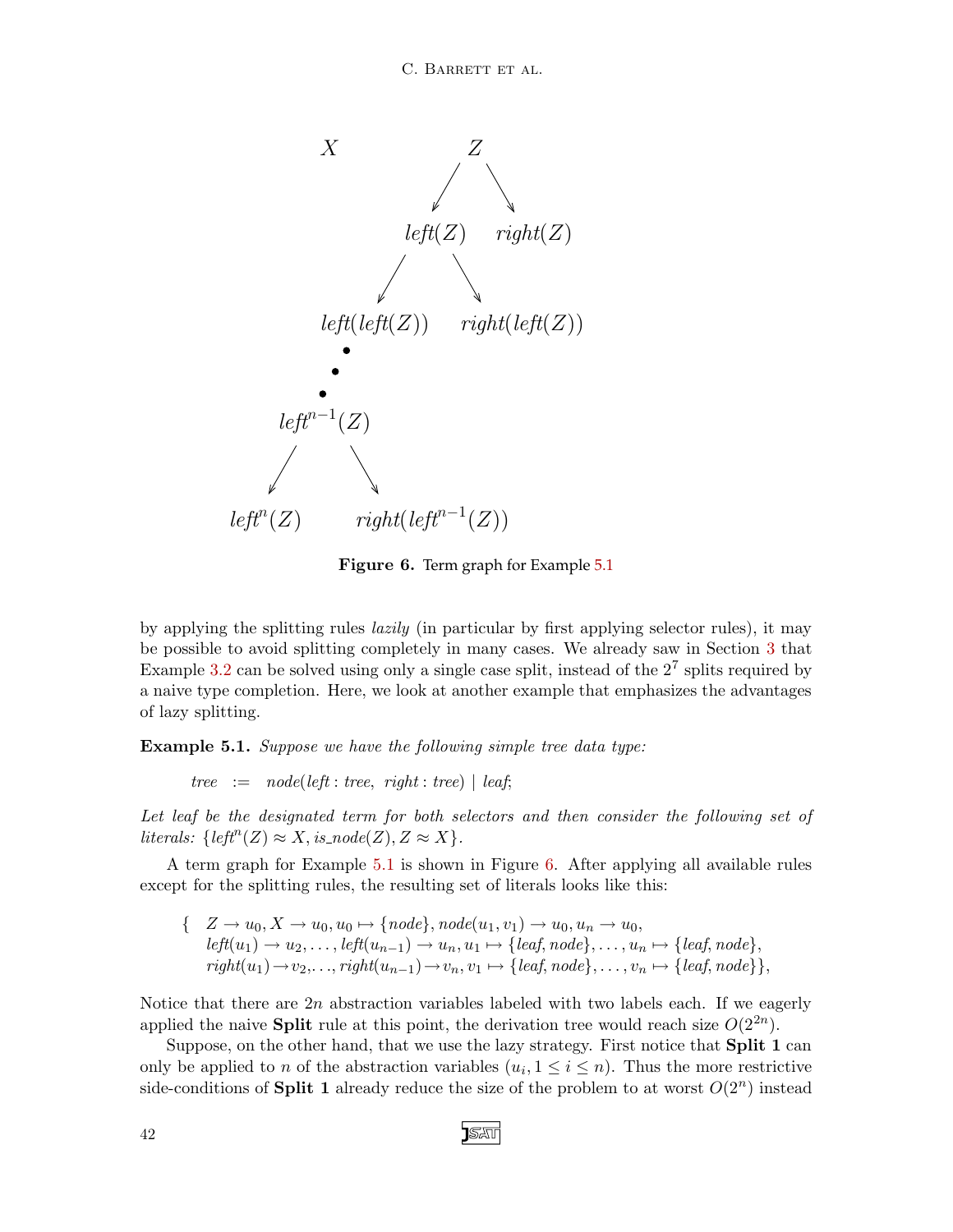

<span id="page-21-1"></span>Figure 6. Term graph for Example [5.1](#page-21-0)

by applying the splitting rules *lazily* (in particular by first applying selector rules), it may be possible to avoid splitting completely in many cases. We already saw in Section [3](#page-5-0) that Example [3.2](#page-6-3) can be solved using only a single case split, instead of the  $2^7$  splits required by a naive type completion. Here, we look at another example that emphasizes the advantages of lazy splitting.

<span id="page-21-0"></span>Example 5.1. Suppose we have the following simple tree data type:

tree :=  $node(left: tree, right: tree) | leaf;$ 

Let leaf be the designated term for both selectors and then consider the following set of literals:  $\{left(X \geq X, \text{is\_node}(Z), Z \approx X\right\}.$ 

A term graph for Example [5.1](#page-21-0) is shown in Figure [6.](#page-21-1) After applying all available rules except for the splitting rules, the resulting set of literals looks like this:

 $\{ Z \rightarrow u_0, X \rightarrow u_0, u_0 \mapsto \{node\}, node(u_1, v_1) \rightarrow u_0, u_n \rightarrow u_0,$  $left(u_1) \rightarrow u_2, \ldots, left(u_{n-1}) \rightarrow u_n, u_1 \mapsto \{leaf, node\}, \ldots, u_n \mapsto \{leaf, node\},\$  $right(u_1)\rightarrow v_2,..., right(u_{n-1})\rightarrow v_n, v_1 \mapsto \{leaf, node\},..., v_n \mapsto \{leaf, node\}\},\$ 

Notice that there are  $2n$  abstraction variables labeled with two labels each. If we eagerly applied the naive **Split** rule at this point, the derivation tree would reach size  $O(2^{2n})$ .

Suppose, on the other hand, that we use the lazy strategy. First notice that Split 1 can only be applied to *n* of the abstraction variables  $(u_i, 1 \le i \le n)$ . Thus the more restrictive side-conditions of **Split 1** already reduce the size of the problem to at worst  $O(2^n)$  instead

$$
\mathbb{S}\!\mathbb{H}
$$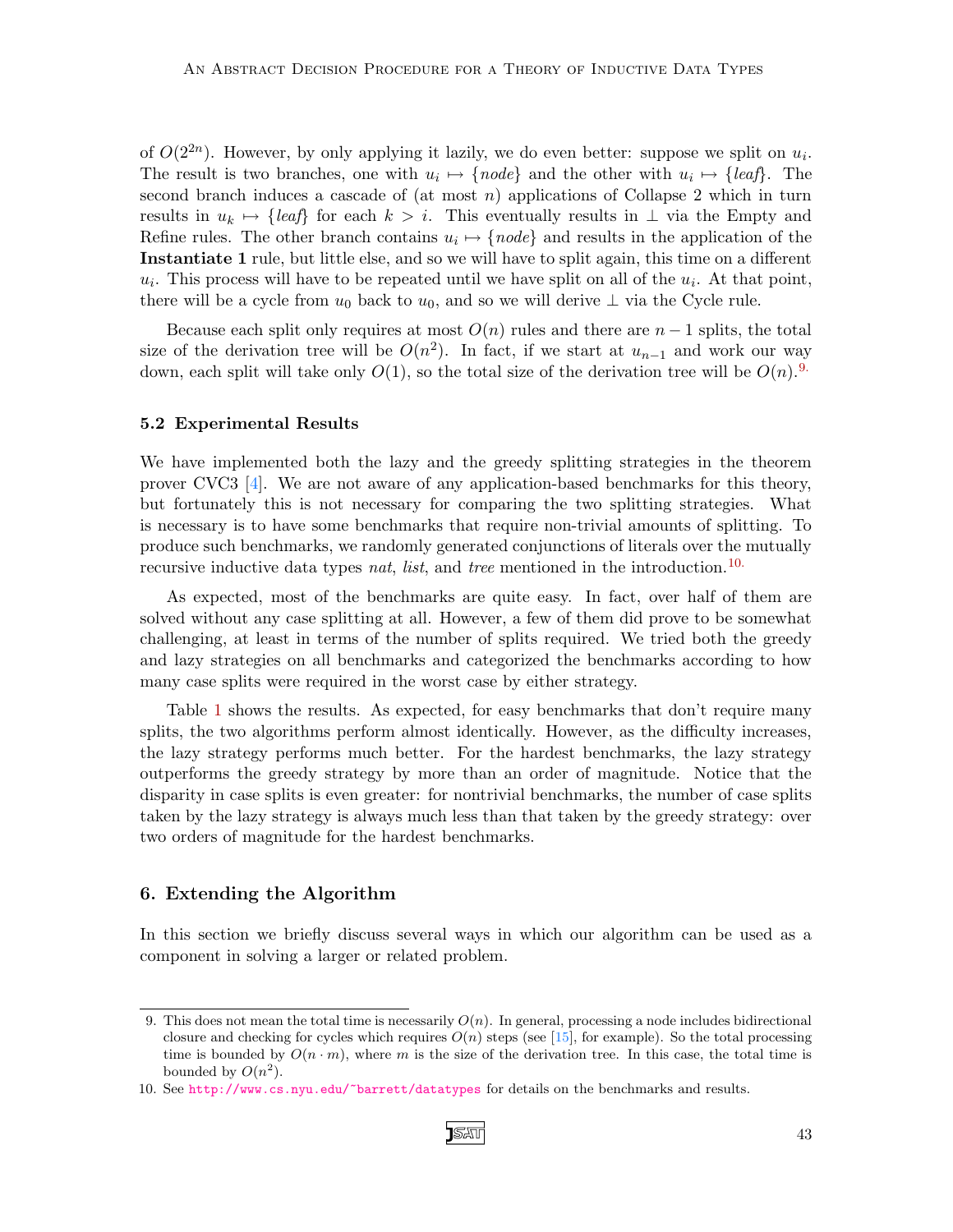of  $O(2^{2n})$ . However, by only applying it lazily, we do even better: suppose we split on  $u_i$ . The result is two branches, one with  $u_i \mapsto \{node\}$  and the other with  $u_i \mapsto \{leaf\}$ . The second branch induces a cascade of (at most  $n$ ) applications of Collapse 2 which in turn results in  $u_k \mapsto \{leaf\}$  for each  $k > i$ . This eventually results in  $\perp$  via the Empty and Refine rules. The other branch contains  $u_i \mapsto \{node\}$  and results in the application of the Instantiate 1 rule, but little else, and so we will have to split again, this time on a different  $u_i$ . This process will have to be repeated until we have split on all of the  $u_i$ . At that point, there will be a cycle from  $u_0$  back to  $u_0$ , and so we will derive  $\perp$  via the Cycle rule.

Because each split only requires at most  $O(n)$  rules and there are  $n-1$  splits, the total size of the derivation tree will be  $O(n^2)$ . In fact, if we start at  $u_{n-1}$  and work our way down, each split will take only  $O(1)$ , so the total size of the derivation tree will be  $O(n)$ .<sup>[9.](#page-22-1)</sup>

# 5.2 Experimental Results

We have implemented both the lazy and the greedy splitting strategies in the theorem prover CVC3 [\[4\]](#page-24-2). We are not aware of any application-based benchmarks for this theory, but fortunately this is not necessary for comparing the two splitting strategies. What is necessary is to have some benchmarks that require non-trivial amounts of splitting. To produce such benchmarks, we randomly generated conjunctions of literals over the mutually recursive inductive data types *nat*, *list*, and *tree* mentioned in the introduction.<sup>[10.](#page-22-2)</sup>

As expected, most of the benchmarks are quite easy. In fact, over half of them are solved without any case splitting at all. However, a few of them did prove to be somewhat challenging, at least in terms of the number of splits required. We tried both the greedy and lazy strategies on all benchmarks and categorized the benchmarks according to how many case splits were required in the worst case by either strategy.

Table [1](#page-23-3) shows the results. As expected, for easy benchmarks that don't require many splits, the two algorithms perform almost identically. However, as the difficulty increases, the lazy strategy performs much better. For the hardest benchmarks, the lazy strategy outperforms the greedy strategy by more than an order of magnitude. Notice that the disparity in case splits is even greater: for nontrivial benchmarks, the number of case splits taken by the lazy strategy is always much less than that taken by the greedy strategy: over two orders of magnitude for the hardest benchmarks.

# <span id="page-22-0"></span>6. Extending the Algorithm

In this section we briefly discuss several ways in which our algorithm can be used as a component in solving a larger or related problem.

<span id="page-22-1"></span><sup>9.</sup> This does not mean the total time is necessarily  $O(n)$ . In general, processing a node includes bidirectional closure and checking for cycles which requires  $O(n)$  steps (see [\[15\]](#page-25-8), for example). So the total processing time is bounded by  $O(n \cdot m)$ , where m is the size of the derivation tree. In this case, the total time is bounded by  $O(n^2)$ .

<span id="page-22-2"></span><sup>10.</sup> See [http://www.cs.nyu.edu/~barrett/datatypes](http://www.cs.nyu.edu/%7Ebarrett/datatypes) for details on the benchmarks and results.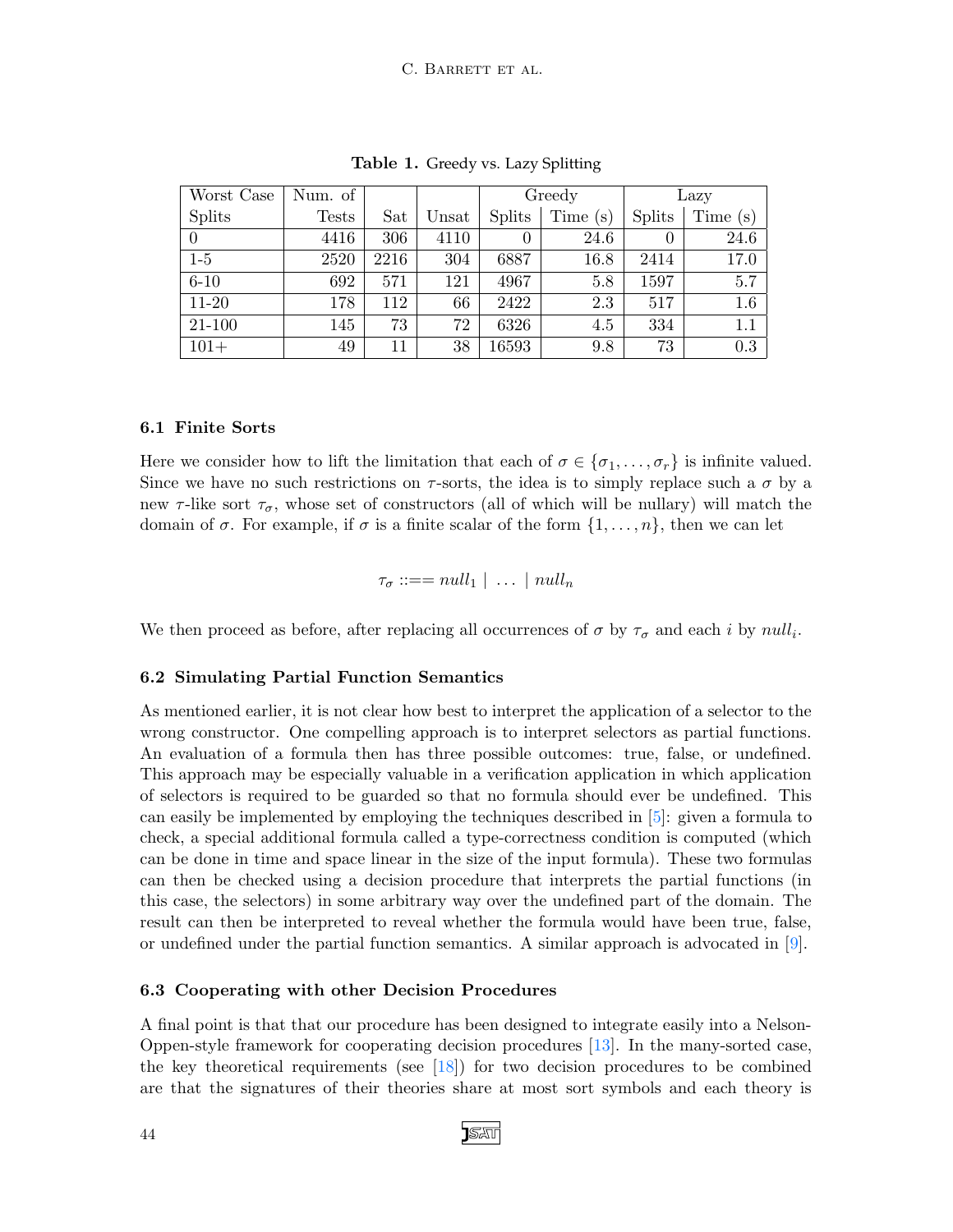| Worst Case    | Num. of      |      |       | Greedy        |          | Lazy          |            |
|---------------|--------------|------|-------|---------------|----------|---------------|------------|
| <b>Splits</b> | <b>Tests</b> | Sat  | Unsat | <b>Splits</b> | Time (s) | <b>Splits</b> | Time $(s)$ |
|               | 4416         | 306  | 4110  | 0             | 24.6     |               | 24.6       |
| $1-5$         | 2520         | 2216 | 304   | 6887          | 16.8     | 2414          | 17.0       |
| $6 - 10$      | 692          | 571  | 121   | 4967          | 5.8      | 1597          | 5.7        |
| $11 - 20$     | 178          | 112  | 66    | 2422          | 2.3      | 517           | 1.6        |
| 21-100        | 145          | 73   | 72    | 6326          | 4.5      | 334           | $1.1\,$    |
| $101+$        | 49           | 11   | 38    | 16593         | 9.8      | 73            | 0.3        |

<span id="page-23-3"></span>Table 1. Greedy vs. Lazy Splitting

# <span id="page-23-1"></span>6.1 Finite Sorts

Here we consider how to lift the limitation that each of  $\sigma \in {\sigma_1, \ldots, \sigma_r}$  is infinite valued. Since we have no such restrictions on  $\tau$ -sorts, the idea is to simply replace such a  $\sigma$  by a new  $\tau$ -like sort  $\tau_{\sigma}$ , whose set of constructors (all of which will be nullary) will match the domain of  $\sigma$ . For example, if  $\sigma$  is a finite scalar of the form  $\{1,\ldots,n\}$ , then we can let

 $\tau_{\sigma} ::= = null_1 \mid \ldots \mid null_n$ 

We then proceed as before, after replacing all occurrences of  $\sigma$  by  $\tau_{\sigma}$  and each i by  $null_i$ .

# <span id="page-23-2"></span>6.2 Simulating Partial Function Semantics

As mentioned earlier, it is not clear how best to interpret the application of a selector to the wrong constructor. One compelling approach is to interpret selectors as partial functions. An evaluation of a formula then has three possible outcomes: true, false, or undefined. This approach may be especially valuable in a verification application in which application of selectors is required to be guarded so that no formula should ever be undefined. This can easily be implemented by employing the techniques described in [\[5\]](#page-25-14): given a formula to check, a special additional formula called a type-correctness condition is computed (which can be done in time and space linear in the size of the input formula). These two formulas can then be checked using a decision procedure that interprets the partial functions (in this case, the selectors) in some arbitrary way over the undefined part of the domain. The result can then be interpreted to reveal whether the formula would have been true, false, or undefined under the partial function semantics. A similar approach is advocated in [\[9\]](#page-25-1).

#### <span id="page-23-0"></span>6.3 Cooperating with other Decision Procedures

A final point is that that our procedure has been designed to integrate easily into a Nelson-Oppen-style framework for cooperating decision procedures [\[13\]](#page-25-15). In the many-sorted case, the key theoretical requirements (see [\[18\]](#page-25-16)) for two decision procedures to be combined are that the signatures of their theories share at most sort symbols and each theory is

]SATI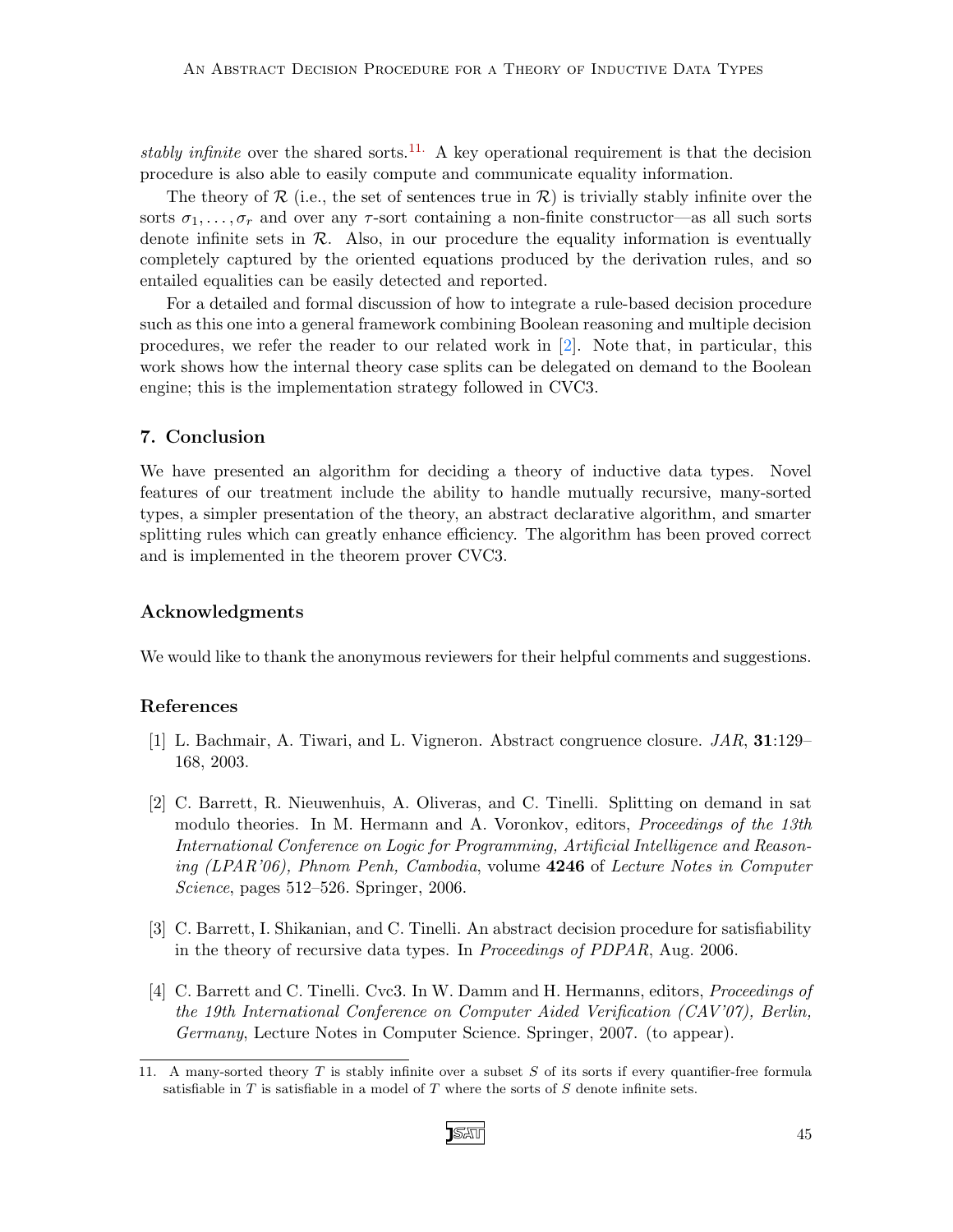stably infinite over the shared sorts.<sup>[11.](#page-24-3)</sup> A key operational requirement is that the decision procedure is also able to easily compute and communicate equality information.

The theory of  $\mathcal R$  (i.e., the set of sentences true in  $\mathcal R$ ) is trivially stably infinite over the sorts  $\sigma_1, \ldots, \sigma_r$  and over any  $\tau$ -sort containing a non-finite constructor—as all such sorts denote infinite sets in  $\mathcal{R}$ . Also, in our procedure the equality information is eventually completely captured by the oriented equations produced by the derivation rules, and so entailed equalities can be easily detected and reported.

For a detailed and formal discussion of how to integrate a rule-based decision procedure such as this one into a general framework combining Boolean reasoning and multiple decision procedures, we refer the reader to our related work in [\[2\]](#page-24-4). Note that, in particular, this work shows how the internal theory case splits can be delegated on demand to the Boolean engine; this is the implementation strategy followed in CVC3.

# 7. Conclusion

We have presented an algorithm for deciding a theory of inductive data types. Novel features of our treatment include the ability to handle mutually recursive, many-sorted types, a simpler presentation of the theory, an abstract declarative algorithm, and smarter splitting rules which can greatly enhance efficiency. The algorithm has been proved correct and is implemented in the theorem prover CVC3.

# Acknowledgments

We would like to thank the anonymous reviewers for their helpful comments and suggestions.

# <span id="page-24-1"></span>References

- <span id="page-24-4"></span>[1] L. Bachmair, A. Tiwari, and L. Vigneron. Abstract congruence closure. JAR, 31:129– 168, 2003.
- [2] C. Barrett, R. Nieuwenhuis, A. Oliveras, and C. Tinelli. Splitting on demand in sat modulo theories. In M. Hermann and A. Voronkov, editors, Proceedings of the 13th International Conference on Logic for Programming, Artificial Intelligence and Reasoning (LPAR'06), Phnom Penh, Cambodia, volume 4246 of Lecture Notes in Computer Science, pages 512–526. Springer, 2006.
- <span id="page-24-0"></span>[3] C. Barrett, I. Shikanian, and C. Tinelli. An abstract decision procedure for satisfiability in the theory of recursive data types. In Proceedings of PDPAR, Aug. 2006.
- <span id="page-24-2"></span>[4] C. Barrett and C. Tinelli. Cvc3. In W. Damm and H. Hermanns, editors, Proceedings of the 19th International Conference on Computer Aided Verification (CAV'07), Berlin, Germany, Lecture Notes in Computer Science. Springer, 2007. (to appear).

<span id="page-24-3"></span><sup>11.</sup> A many-sorted theory  $T$  is stably infinite over a subset  $S$  of its sorts if every quantifier-free formula satisfiable in  $T$  is satisfiable in a model of  $T$  where the sorts of  $S$  denote infinite sets.